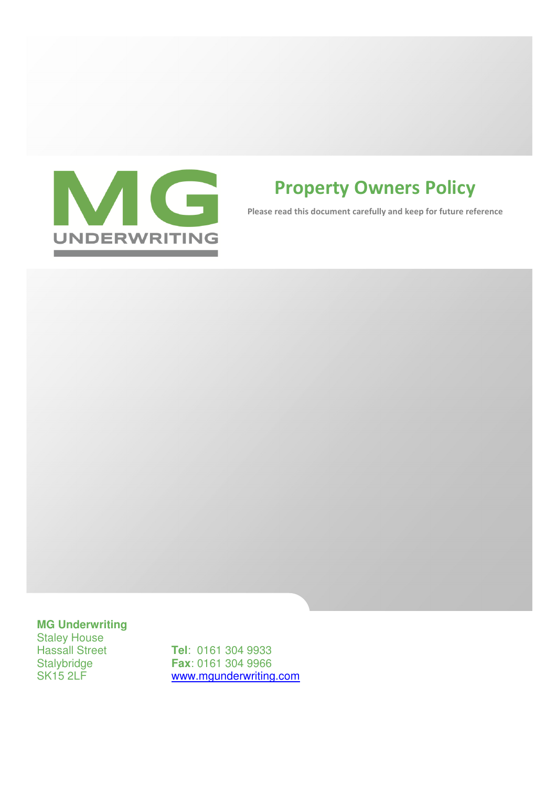

# Property Owners Policy

Please read this document carefully and keep for future reference

# **MG Underwriting**

Staley House<br>Hassall Street

Hassall Street **Tel**: 0161 304 9933<br>Stalybridge **Fax**: 0161 304 9966 Stalybridge **Fax**: 0161 304 9966 www.mgunderwriting.com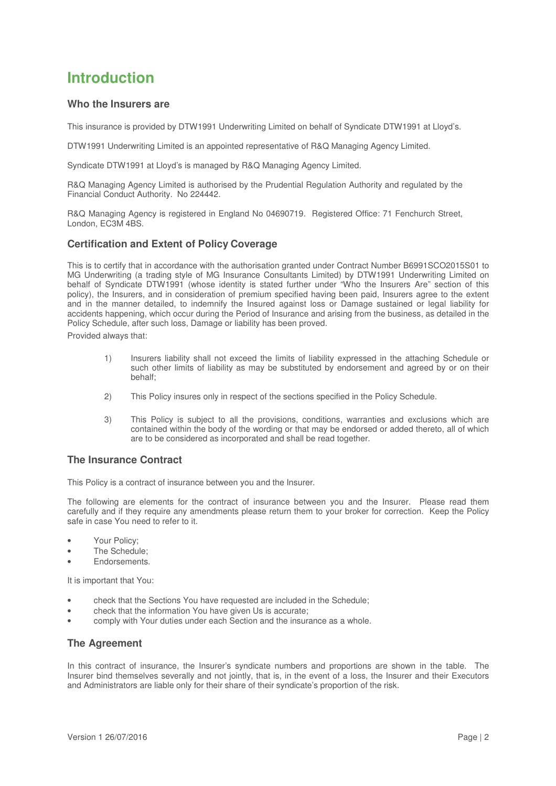# **Introduction**

# **Who the Insurers are**

This insurance is provided by DTW1991 Underwriting Limited on behalf of Syndicate DTW1991 at Lloyd's.

DTW1991 Underwriting Limited is an appointed representative of R&Q Managing Agency Limited.

Syndicate DTW1991 at Lloyd's is managed by R&Q Managing Agency Limited.

R&Q Managing Agency Limited is authorised by the Prudential Regulation Authority and regulated by the Financial Conduct Authority. No 224442.

R&Q Managing Agency is registered in England No 04690719. Registered Office: 71 Fenchurch Street, London, EC3M 4BS.

# **Certification and Extent of Policy Coverage**

This is to certify that in accordance with the authorisation granted under Contract Number B6991SCO2015S01 to MG Underwriting (a trading style of MG Insurance Consultants Limited) by DTW1991 Underwriting Limited on behalf of Syndicate DTW1991 (whose identity is stated further under "Who the Insurers Are" section of this policy), the Insurers, and in consideration of premium specified having been paid, Insurers agree to the extent and in the manner detailed, to indemnify the Insured against loss or Damage sustained or legal liability for accidents happening, which occur during the Period of Insurance and arising from the business, as detailed in the Policy Schedule, after such loss, Damage or liability has been proved.

Provided always that:

- 1) Insurers liability shall not exceed the limits of liability expressed in the attaching Schedule or such other limits of liability as may be substituted by endorsement and agreed by or on their behalf;
- 2) This Policy insures only in respect of the sections specified in the Policy Schedule.
- 3) This Policy is subject to all the provisions, conditions, warranties and exclusions which are contained within the body of the wording or that may be endorsed or added thereto, all of which are to be considered as incorporated and shall be read together.

# **The Insurance Contract**

This Policy is a contract of insurance between you and the Insurer.

The following are elements for the contract of insurance between you and the Insurer. Please read them carefully and if they require any amendments please return them to your broker for correction. Keep the Policy safe in case You need to refer to it.

- Your Policy;
- The Schedule;
- Endorsements.

It is important that You:

- check that the Sections You have requested are included in the Schedule;
- check that the information You have given Us is accurate;
- comply with Your duties under each Section and the insurance as a whole.

# **The Agreement**

In this contract of insurance, the Insurer's syndicate numbers and proportions are shown in the table. The Insurer bind themselves severally and not jointly, that is, in the event of a loss, the Insurer and their Executors and Administrators are liable only for their share of their syndicate's proportion of the risk.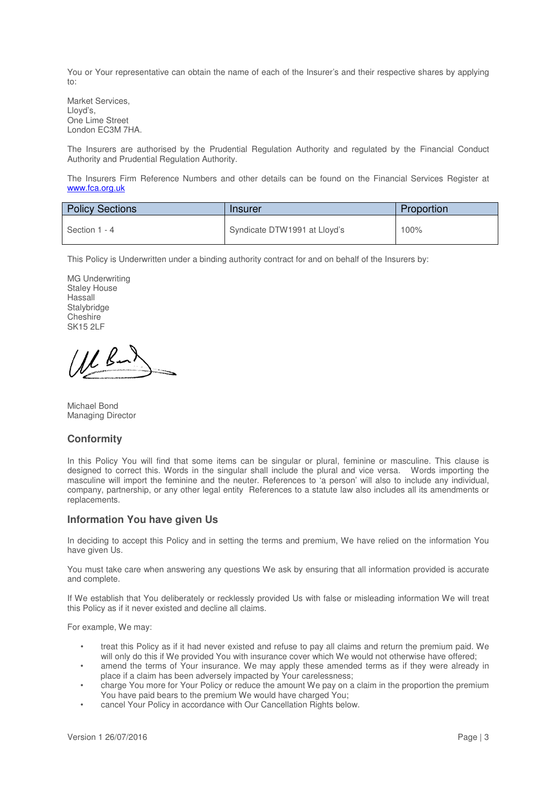You or Your representative can obtain the name of each of the Insurer's and their respective shares by applying to:

Market Services, Lloyd's, One Lime Street London EC3M 7HA.

The Insurers are authorised by the Prudential Regulation Authority and regulated by the Financial Conduct Authority and Prudential Regulation Authority.

The Insurers Firm Reference Numbers and other details can be found on the Financial Services Register at www.fca.org.uk

| <b>Policy Sections</b> | Insurer                      | Proportion |
|------------------------|------------------------------|------------|
| Section 1 - 4          | Syndicate DTW1991 at Lloyd's | 100%       |

This Policy is Underwritten under a binding authority contract for and on behalf of the Insurers by:

MG Underwriting Staley House Hassall **Stalybridge Cheshire** SK15 2LF

Michael Bond Managing Director

# **Conformity**

In this Policy You will find that some items can be singular or plural, feminine or masculine. This clause is designed to correct this. Words in the singular shall include the plural and vice versa. Words importing the masculine will import the feminine and the neuter. References to 'a person' will also to include any individual, company, partnership, or any other legal entity References to a statute law also includes all its amendments or replacements.

# **Information You have given Us**

In deciding to accept this Policy and in setting the terms and premium, We have relied on the information You have given Us.

You must take care when answering any questions We ask by ensuring that all information provided is accurate and complete.

If We establish that You deliberately or recklessly provided Us with false or misleading information We will treat this Policy as if it never existed and decline all claims.

For example, We may:

- treat this Policy as if it had never existed and refuse to pay all claims and return the premium paid. We will only do this if We provided You with insurance cover which We would not otherwise have offered;
- amend the terms of Your insurance. We may apply these amended terms as if they were already in place if a claim has been adversely impacted by Your carelessness;
- charge You more for Your Policy or reduce the amount We pay on a claim in the proportion the premium You have paid bears to the premium We would have charged You;
- cancel Your Policy in accordance with Our Cancellation Rights below.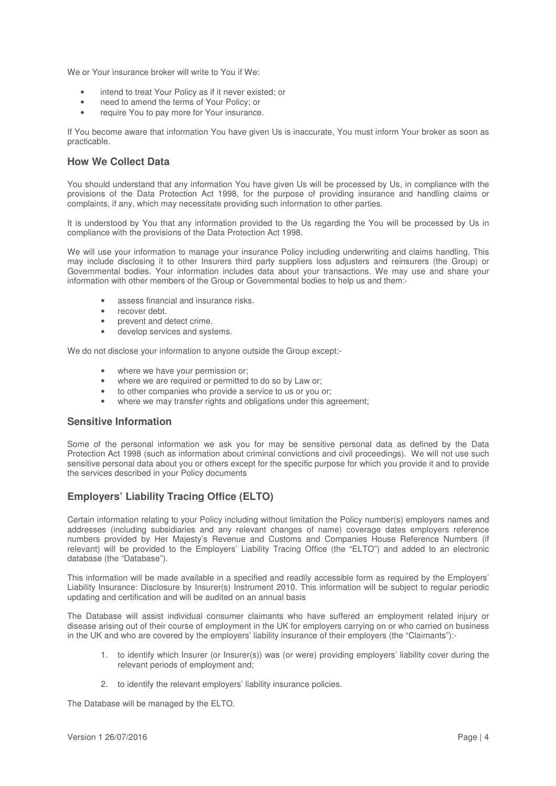We or Your insurance broker will write to You if We:

- intend to treat Your Policy as if it never existed; or
- need to amend the terms of Your Policy; or
- require You to pay more for Your insurance.

If You become aware that information You have given Us is inaccurate, You must inform Your broker as soon as practicable.

# **How We Collect Data**

You should understand that any information You have given Us will be processed by Us, in compliance with the provisions of the Data Protection Act 1998, for the purpose of providing insurance and handling claims or complaints, if any, which may necessitate providing such information to other parties.

It is understood by You that any information provided to the Us regarding the You will be processed by Us in compliance with the provisions of the Data Protection Act 1998.

We will use your information to manage your insurance Policy including underwriting and claims handling. This may include disclosing it to other Insurers third party suppliers loss adjusters and reinsurers (the Group) or Governmental bodies. Your information includes data about your transactions. We may use and share your information with other members of the Group or Governmental bodies to help us and them:-

- assess financial and insurance risks.
- recover debt.
- prevent and detect crime.
- develop services and systems.

We do not disclose your information to anyone outside the Group except:-

- where we have your permission or;
- where we are required or permitted to do so by Law or;
- to other companies who provide a service to us or you or;
- where we may transfer rights and obligations under this agreement;

# **Sensitive Information**

Some of the personal information we ask you for may be sensitive personal data as defined by the Data Protection Act 1998 (such as information about criminal convictions and civil proceedings). We will not use such sensitive personal data about you or others except for the specific purpose for which you provide it and to provide the services described in your Policy documents

# **Employers' Liability Tracing Office (ELTO)**

Certain information relating to your Policy including without limitation the Policy number(s) employers names and addresses (including subsidiaries and any relevant changes of name) coverage dates employers reference numbers provided by Her Majesty's Revenue and Customs and Companies House Reference Numbers (if relevant) will be provided to the Employers' Liability Tracing Office (the "ELTO") and added to an electronic database (the "Database").

This information will be made available in a specified and readily accessible form as required by the Employers' Liability Insurance: Disclosure by Insurer(s) Instrument 2010. This information will be subject to regular periodic updating and certification and will be audited on an annual basis

The Database will assist individual consumer claimants who have suffered an employment related injury or disease arising out of their course of employment in the UK for employers carrying on or who carried on business in the UK and who are covered by the employers' liability insurance of their employers (the "Claimants"):-

- 1. to identify which Insurer (or Insurer(s)) was (or were) providing employers' liability cover during the relevant periods of employment and;
- 2. to identify the relevant employers' liability insurance policies.

The Database will be managed by the ELTO.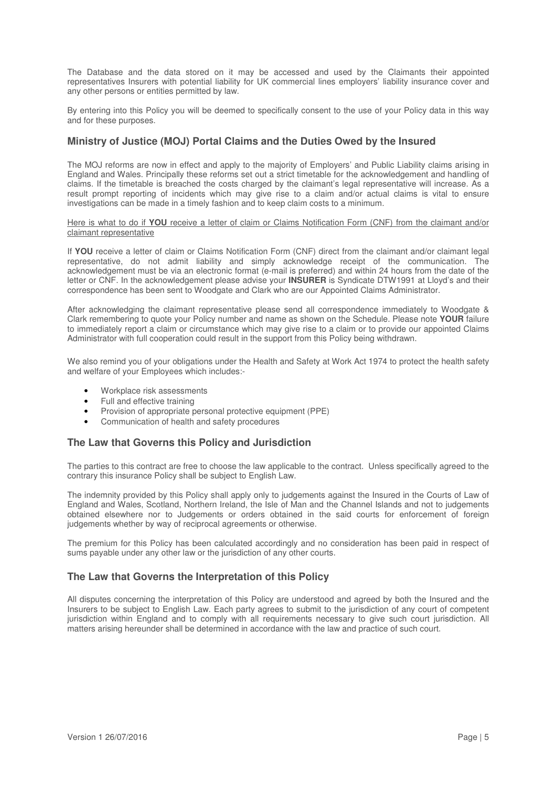The Database and the data stored on it may be accessed and used by the Claimants their appointed representatives Insurers with potential liability for UK commercial lines employers' liability insurance cover and any other persons or entities permitted by law.

By entering into this Policy you will be deemed to specifically consent to the use of your Policy data in this way and for these purposes.

# **Ministry of Justice (MOJ) Portal Claims and the Duties Owed by the Insured**

The MOJ reforms are now in effect and apply to the majority of Employers' and Public Liability claims arising in England and Wales. Principally these reforms set out a strict timetable for the acknowledgement and handling of claims. If the timetable is breached the costs charged by the claimant's legal representative will increase. As a result prompt reporting of incidents which may give rise to a claim and/or actual claims is vital to ensure investigations can be made in a timely fashion and to keep claim costs to a minimum.

### Here is what to do if **YOU** receive a letter of claim or Claims Notification Form (CNF) from the claimant and/or claimant representative

If **YOU** receive a letter of claim or Claims Notification Form (CNF) direct from the claimant and/or claimant legal representative, do not admit liability and simply acknowledge receipt of the communication. The acknowledgement must be via an electronic format (e-mail is preferred) and within 24 hours from the date of the letter or CNF. In the acknowledgement please advise your **INSURER** is Syndicate DTW1991 at Lloyd's and their correspondence has been sent to Woodgate and Clark who are our Appointed Claims Administrator.

After acknowledging the claimant representative please send all correspondence immediately to Woodgate & Clark remembering to quote your Policy number and name as shown on the Schedule. Please note **YOUR** failure to immediately report a claim or circumstance which may give rise to a claim or to provide our appointed Claims Administrator with full cooperation could result in the support from this Policy being withdrawn.

We also remind you of your obligations under the Health and Safety at Work Act 1974 to protect the health safety and welfare of your Employees which includes:-

- Workplace risk assessments
- Full and effective training
- Provision of appropriate personal protective equipment (PPE)
- Communication of health and safety procedures

# **The Law that Governs this Policy and Jurisdiction**

The parties to this contract are free to choose the law applicable to the contract. Unless specifically agreed to the contrary this insurance Policy shall be subject to English Law.

The indemnity provided by this Policy shall apply only to judgements against the Insured in the Courts of Law of England and Wales, Scotland, Northern Ireland, the Isle of Man and the Channel Islands and not to judgements obtained elsewhere nor to Judgements or orders obtained in the said courts for enforcement of foreign judgements whether by way of reciprocal agreements or otherwise.

The premium for this Policy has been calculated accordingly and no consideration has been paid in respect of sums payable under any other law or the jurisdiction of any other courts.

# **The Law that Governs the Interpretation of this Policy**

All disputes concerning the interpretation of this Policy are understood and agreed by both the Insured and the Insurers to be subject to English Law. Each party agrees to submit to the jurisdiction of any court of competent jurisdiction within England and to comply with all requirements necessary to give such court jurisdiction. All matters arising hereunder shall be determined in accordance with the law and practice of such court.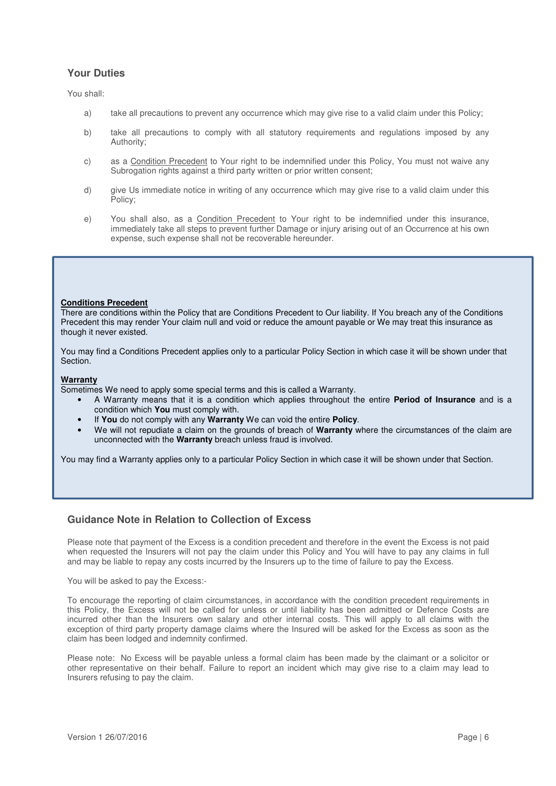# **Your Duties**

You shall:

- a) take all precautions to prevent any occurrence which may give rise to a valid claim under this Policy;
- b) take all precautions to comply with all statutory requirements and regulations imposed by any Authority;
- c) as a Condition Precedent to Your right to be indemnified under this Policy, You must not waive any Subrogation rights against a third party written or prior written consent;
- d) give Us immediate notice in writing of any occurrence which may give rise to a valid claim under this Policy;
- e) You shall also, as a Condition Precedent to Your right to be indemnified under this insurance, immediately take all steps to prevent further Damage or injury arising out of an Occurrence at his own expense, such expense shall not be recoverable hereunder.

### **Conditions Precedent**

There are conditions within the Policy that are Conditions Precedent to Our liability. If You breach any of the Conditions Precedent this may render Your claim null and void or reduce the amount payable or We may treat this insurance as though it never existed.

You may find a Conditions Precedent applies only to a particular Policy Section in which case it will be shown under that Section.

### **Warranty**

Sometimes We need to apply some special terms and this is called a Warranty.

- A Warranty means that it is a condition which applies throughout the entire **Period of Insurance** and is a condition which **You** must comply with.
- If **You** do not comply with any **Warranty** We can void the entire **Policy**.
- We will not repudiate a claim on the grounds of breach of **Warranty** where the circumstances of the claim are unconnected with the **Warranty** breach unless fraud is involved.

You may find a Warranty applies only to a particular Policy Section in which case it will be shown under that Section.

# **Guidance Note in Relation to Collection of Excess**

Please note that payment of the Excess is a condition precedent and therefore in the event the Excess is not paid when requested the Insurers will not pay the claim under this Policy and You will have to pay any claims in full and may be liable to repay any costs incurred by the Insurers up to the time of failure to pay the Excess.

You will be asked to pay the Excess:-

To encourage the reporting of claim circumstances, in accordance with the condition precedent requirements in this Policy, the Excess will not be called for unless or until liability has been admitted or Defence Costs are incurred other than the Insurers own salary and other internal costs. This will apply to all claims with the exception of third party property damage claims where the Insured will be asked for the Excess as soon as the claim has been lodged and indemnity confirmed.

Please note: No Excess will be payable unless a formal claim has been made by the claimant or a solicitor or other representative on their behalf. Failure to report an incident which may give rise to a claim may lead to Insurers refusing to pay the claim.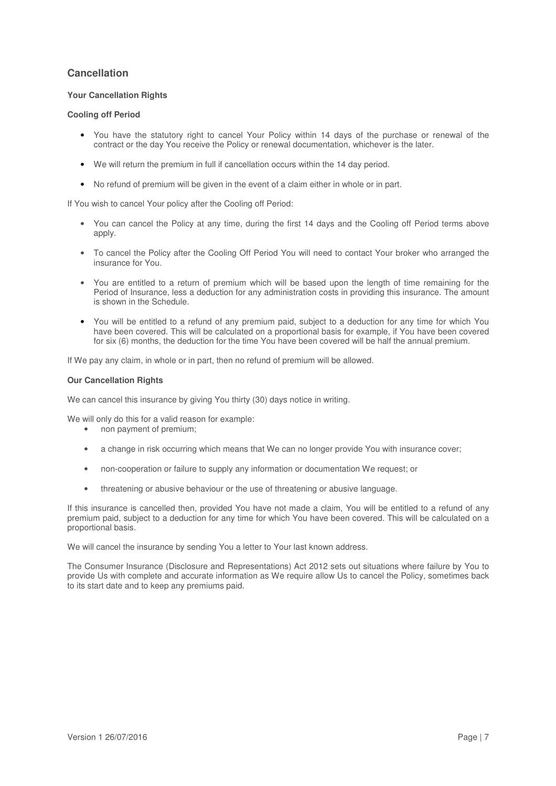# **Cancellation**

# **Your Cancellation Rights**

# **Cooling off Period**

- You have the statutory right to cancel Your Policy within 14 days of the purchase or renewal of the contract or the day You receive the Policy or renewal documentation, whichever is the later.
- We will return the premium in full if cancellation occurs within the 14 day period.
- No refund of premium will be given in the event of a claim either in whole or in part.

If You wish to cancel Your policy after the Cooling off Period:

- You can cancel the Policy at any time, during the first 14 days and the Cooling off Period terms above apply.
- To cancel the Policy after the Cooling Off Period You will need to contact Your broker who arranged the insurance for You.
- You are entitled to a return of premium which will be based upon the length of time remaining for the Period of Insurance, less a deduction for any administration costs in providing this insurance. The amount is shown in the Schedule.
- You will be entitled to a refund of any premium paid, subject to a deduction for any time for which You have been covered. This will be calculated on a proportional basis for example, if You have been covered for six (6) months, the deduction for the time You have been covered will be half the annual premium.

If We pay any claim, in whole or in part, then no refund of premium will be allowed.

# **Our Cancellation Rights**

We can cancel this insurance by giving You thirty (30) days notice in writing.

We will only do this for a valid reason for example:

- non payment of premium;
- a change in risk occurring which means that We can no longer provide You with insurance cover;
- non-cooperation or failure to supply any information or documentation We request; or
- threatening or abusive behaviour or the use of threatening or abusive language.

If this insurance is cancelled then, provided You have not made a claim, You will be entitled to a refund of any premium paid, subject to a deduction for any time for which You have been covered. This will be calculated on a proportional basis.

We will cancel the insurance by sending You a letter to Your last known address.

The Consumer Insurance (Disclosure and Representations) Act 2012 sets out situations where failure by You to provide Us with complete and accurate information as We require allow Us to cancel the Policy, sometimes back to its start date and to keep any premiums paid.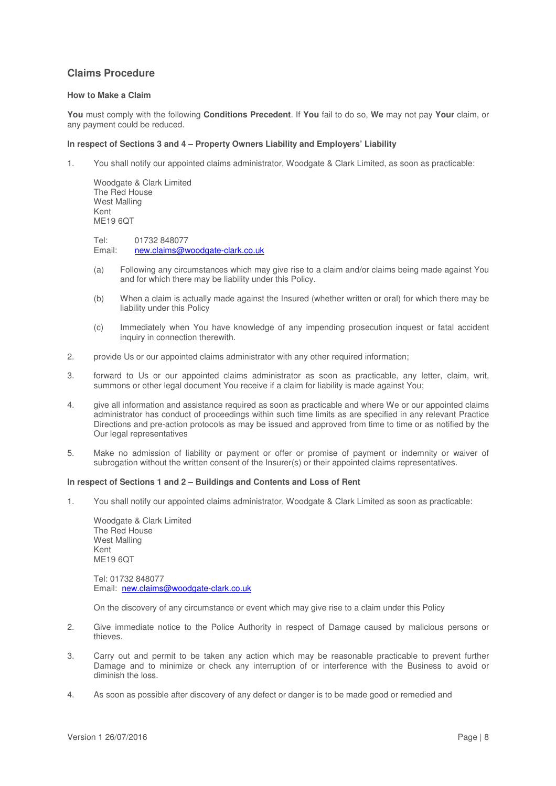# **Claims Procedure**

### **How to Make a Claim**

**You** must comply with the following **Conditions Precedent**. If **You** fail to do so, **We** may not pay **Your** claim, or any payment could be reduced.

### **In respect of Sections 3 and 4 – Property Owners Liability and Employers' Liability**

1. You shall notify our appointed claims administrator, Woodgate & Clark Limited, as soon as practicable:

Woodgate & Clark Limited The Red House West Malling Kent ME19 6QT

Tel: 01732 848077 Email: new.claims@woodgate-clark.co.uk

- (a) Following any circumstances which may give rise to a claim and/or claims being made against You and for which there may be liability under this Policy.
- (b) When a claim is actually made against the Insured (whether written or oral) for which there may be liability under this Policy
- (c) Immediately when You have knowledge of any impending prosecution inquest or fatal accident inquiry in connection therewith.
- 2. provide Us or our appointed claims administrator with any other required information;
- 3. forward to Us or our appointed claims administrator as soon as practicable, any letter, claim, writ, summons or other legal document You receive if a claim for liability is made against You;
- 4. give all information and assistance required as soon as practicable and where We or our appointed claims administrator has conduct of proceedings within such time limits as are specified in any relevant Practice Directions and pre-action protocols as may be issued and approved from time to time or as notified by the Our legal representatives
- 5. Make no admission of liability or payment or offer or promise of payment or indemnity or waiver of subrogation without the written consent of the Insurer(s) or their appointed claims representatives.

#### **In respect of Sections 1 and 2 – Buildings and Contents and Loss of Rent**

1. You shall notify our appointed claims administrator, Woodgate & Clark Limited as soon as practicable:

Woodgate & Clark Limited The Red House West Malling Kent ME<sub>19</sub> 6OT

Tel: 01732 848077 Email: new.claims@woodgate-clark.co.uk

On the discovery of any circumstance or event which may give rise to a claim under this Policy

- 2. Give immediate notice to the Police Authority in respect of Damage caused by malicious persons or thieves.
- 3. Carry out and permit to be taken any action which may be reasonable practicable to prevent further Damage and to minimize or check any interruption of or interference with the Business to avoid or diminish the loss.
- 4. As soon as possible after discovery of any defect or danger is to be made good or remedied and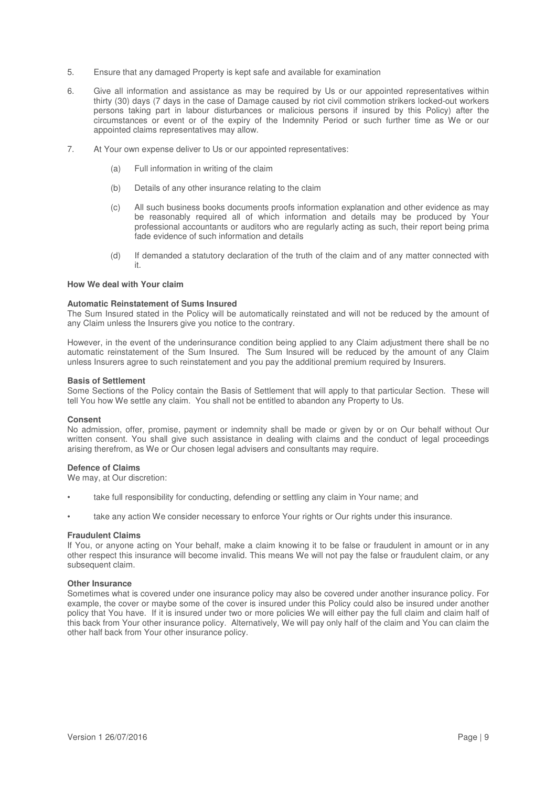- 5. Ensure that any damaged Property is kept safe and available for examination
- 6. Give all information and assistance as may be required by Us or our appointed representatives within thirty (30) days (7 days in the case of Damage caused by riot civil commotion strikers locked-out workers persons taking part in labour disturbances or malicious persons if insured by this Policy) after the circumstances or event or of the expiry of the Indemnity Period or such further time as We or our appointed claims representatives may allow.
- 7. At Your own expense deliver to Us or our appointed representatives:
	- (a) Full information in writing of the claim
	- (b) Details of any other insurance relating to the claim
	- (c) All such business books documents proofs information explanation and other evidence as may be reasonably required all of which information and details may be produced by Your professional accountants or auditors who are regularly acting as such, their report being prima fade evidence of such information and details
	- (d) If demanded a statutory declaration of the truth of the claim and of any matter connected with it.

### **How We deal with Your claim**

### **Automatic Reinstatement of Sums Insured**

The Sum Insured stated in the Policy will be automatically reinstated and will not be reduced by the amount of any Claim unless the Insurers give you notice to the contrary.

However, in the event of the underinsurance condition being applied to any Claim adjustment there shall be no automatic reinstatement of the Sum Insured. The Sum Insured will be reduced by the amount of any Claim unless Insurers agree to such reinstatement and you pay the additional premium required by Insurers.

#### **Basis of Settlement**

Some Sections of the Policy contain the Basis of Settlement that will apply to that particular Section. These will tell You how We settle any claim. You shall not be entitled to abandon any Property to Us.

#### **Consent**

No admission, offer, promise, payment or indemnity shall be made or given by or on Our behalf without Our written consent. You shall give such assistance in dealing with claims and the conduct of legal proceedings arising therefrom, as We or Our chosen legal advisers and consultants may require.

### **Defence of Claims**

We may, at Our discretion:

- take full responsibility for conducting, defending or settling any claim in Your name; and
- take any action We consider necessary to enforce Your rights or Our rights under this insurance.

#### **Fraudulent Claims**

If You, or anyone acting on Your behalf, make a claim knowing it to be false or fraudulent in amount or in any other respect this insurance will become invalid. This means We will not pay the false or fraudulent claim, or any subsequent claim.

#### **Other Insurance**

Sometimes what is covered under one insurance policy may also be covered under another insurance policy. For example, the cover or maybe some of the cover is insured under this Policy could also be insured under another policy that You have. If it is insured under two or more policies We will either pay the full claim and claim half of this back from Your other insurance policy. Alternatively, We will pay only half of the claim and You can claim the other half back from Your other insurance policy.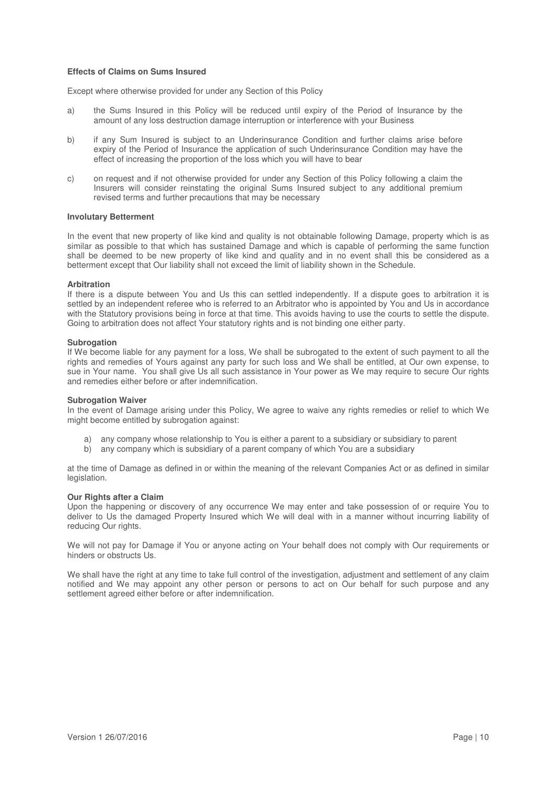### **Effects of Claims on Sums Insured**

Except where otherwise provided for under any Section of this Policy

- a) the Sums Insured in this Policy will be reduced until expiry of the Period of Insurance by the amount of any loss destruction damage interruption or interference with your Business
- b) if any Sum Insured is subject to an Underinsurance Condition and further claims arise before expiry of the Period of Insurance the application of such Underinsurance Condition may have the effect of increasing the proportion of the loss which you will have to bear
- c) on request and if not otherwise provided for under any Section of this Policy following a claim the Insurers will consider reinstating the original Sums Insured subject to any additional premium revised terms and further precautions that may be necessary

### **Involutary Betterment**

In the event that new property of like kind and quality is not obtainable following Damage, property which is as similar as possible to that which has sustained Damage and which is capable of performing the same function shall be deemed to be new property of like kind and quality and in no event shall this be considered as a betterment except that Our liability shall not exceed the limit of liability shown in the Schedule.

### **Arbitration**

If there is a dispute between You and Us this can settled independently. If a dispute goes to arbitration it is settled by an independent referee who is referred to an Arbitrator who is appointed by You and Us in accordance with the Statutory provisions being in force at that time. This avoids having to use the courts to settle the dispute. Going to arbitration does not affect Your statutory rights and is not binding one either party.

### **Subrogation**

If We become liable for any payment for a loss, We shall be subrogated to the extent of such payment to all the rights and remedies of Yours against any party for such loss and We shall be entitled, at Our own expense, to sue in Your name. You shall give Us all such assistance in Your power as We may require to secure Our rights and remedies either before or after indemnification.

#### **Subrogation Waiver**

In the event of Damage arising under this Policy, We agree to waive any rights remedies or relief to which We might become entitled by subrogation against:

- any company whose relationship to You is either a parent to a subsidiary or subsidiary to parent
- b) any company which is subsidiary of a parent company of which You are a subsidiary

at the time of Damage as defined in or within the meaning of the relevant Companies Act or as defined in similar legislation.

#### **Our Rights after a Claim**

Upon the happening or discovery of any occurrence We may enter and take possession of or require You to deliver to Us the damaged Property Insured which We will deal with in a manner without incurring liability of reducing Our rights.

We will not pay for Damage if You or anyone acting on Your behalf does not comply with Our requirements or hinders or obstructs Us.

We shall have the right at any time to take full control of the investigation, adjustment and settlement of any claim notified and We may appoint any other person or persons to act on Our behalf for such purpose and any settlement agreed either before or after indemnification.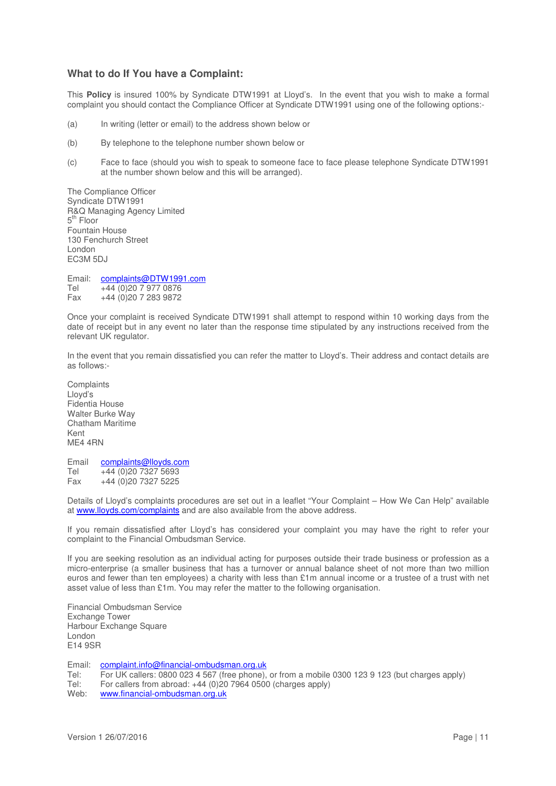# **What to do If You have a Complaint:**

This **Policy** is insured 100% by Syndicate DTW1991 at Lloyd's. In the event that you wish to make a formal complaint you should contact the Compliance Officer at Syndicate DTW1991 using one of the following options:-

- (a) In writing (letter or email) to the address shown below or
- (b) By telephone to the telephone number shown below or
- (c) Face to face (should you wish to speak to someone face to face please telephone Syndicate DTW1991 at the number shown below and this will be arranged).

The Compliance Officer Syndicate DTW1991 R&Q Managing Agency Limited 5<sup>th</sup> Floor Fountain House 130 Fenchurch Street London EC3M 5DJ

Email: complaints@DTW1991.com Tel +44 (0)20 7 977 0876 Fax +44 (0)20 7 283 9872

Once your complaint is received Syndicate DTW1991 shall attempt to respond within 10 working days from the date of receipt but in any event no later than the response time stipulated by any instructions received from the relevant UK regulator.

In the event that you remain dissatisfied you can refer the matter to Lloyd's. Their address and contact details are as follows:-

**Complaints** Lloyd's Fidentia House Walter Burke Way Chatham Maritime Kent ME4 4RN

Email complaints@lloyds.com<br>Tel +44 (0)20 7327 5693  $+44(0)2073275693$ Fax +44 (0)20 7327 5225

Details of Lloyd's complaints procedures are set out in a leaflet "Your Complaint – How We Can Help" available at www.lloyds.com/complaints and are also available from the above address.

If you remain dissatisfied after Lloyd's has considered your complaint you may have the right to refer your complaint to the Financial Ombudsman Service.

If you are seeking resolution as an individual acting for purposes outside their trade business or profession as a micro-enterprise (a smaller business that has a turnover or annual balance sheet of not more than two million euros and fewer than ten employees) a charity with less than £1m annual income or a trustee of a trust with net asset value of less than £1m. You may refer the matter to the following organisation.

Financial Ombudsman Service Exchange Tower Harbour Exchange Square London E14 9SR

Email: complaint.info@financial-ombudsman.org.uk

Tel: For UK callers: 0800 023 4 567 (free phone), or from a mobile 0300 123 9 123 (but charges apply)

Tel: For callers from abroad: +44 (0)20 7964 0500 (charges apply)

Web: www.financial-ombudsman.org.uk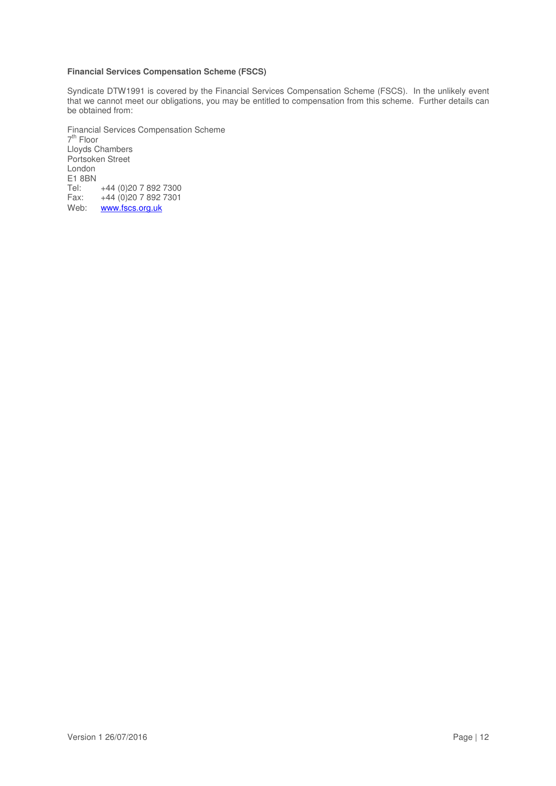## **Financial Services Compensation Scheme (FSCS)**

Syndicate DTW1991 is covered by the Financial Services Compensation Scheme (FSCS). In the unlikely event that we cannot meet our obligations, you may be entitled to compensation from this scheme. Further details can be obtained from:

Financial Services Compensation Scheme 7<sup>th</sup> Floor Lloyds Chambers Portsoken Street London E1 8BN<br>Tel: Tel: +44 (0)20 7 892 7300<br>Fax: +44 (0)20 7 892 7301 +44 (0)20 7 892 7301 Web: www.fscs.org.uk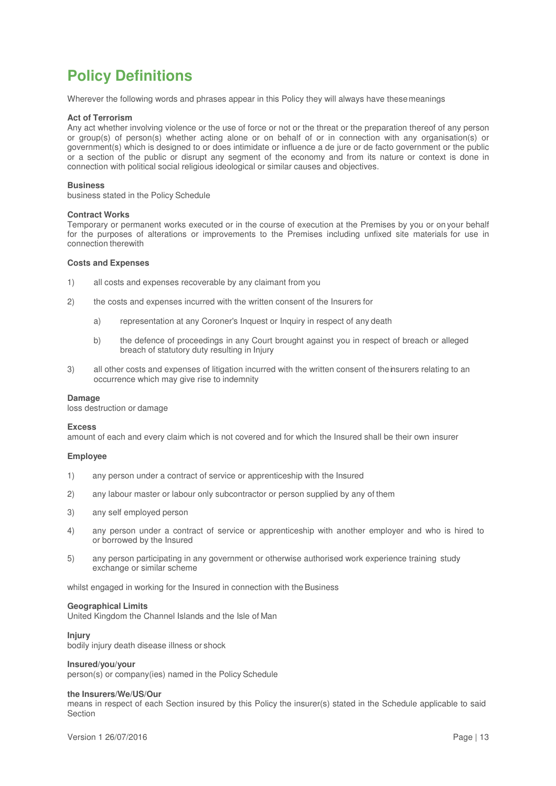# **Policy Definitions**

Wherever the following words and phrases appear in this Policy they will always have these meanings

### **Act of Terrorism**

Any act whether involving violence or the use of force or not or the threat or the preparation thereof of any person or group(s) of person(s) whether acting alone or on behalf of or in connection with any organisation(s) or government(s) which is designed to or does intimidate or influence a de jure or de facto government or the public or a section of the public or disrupt any segment of the economy and from its nature or context is done in connection with political social religious ideological or similar causes and objectives.

### **Business**

business stated in the Policy Schedule

### **Contract Works**

Temporary or permanent works executed or in the course of execution at the Premises by you or on your behalf for the purposes of alterations or improvements to the Premises including unfixed site materials for use in connection therewith

### **Costs and Expenses**

- 1) all costs and expenses recoverable by any claimant from you
- 2) the costs and expenses incurred with the written consent of the Insurers for
	- a) representation at any Coroner's Inquest or Inquiry in respect of any death
	- b) the defence of proceedings in any Court brought against you in respect of breach or alleged breach of statutory duty resulting in Injury
- 3) all other costs and expenses of litigation incurred with the written consent of the insurers relating to an occurrence which may give rise to indemnity

#### **Damage**

loss destruction or damage

#### **Excess**

amount of each and every claim which is not covered and for which the Insured shall be their own insurer

#### **Employee**

- 1) any person under a contract of service or apprenticeship with the Insured
- 2) any labour master or labour only subcontractor or person supplied by any of them
- 3) any self employed person
- 4) any person under a contract of service or apprenticeship with another employer and who is hired to or borrowed by the Insured
- 5) any person participating in any government or otherwise authorised work experience training study exchange or similar scheme

whilst engaged in working for the Insured in connection with the Business

#### **Geographical Limits**

United Kingdom the Channel Islands and the Isle of Man

## **Injury**

bodily injury death disease illness or shock

### **Insured/you/your**

person(s) or company(ies) named in the Policy Schedule

#### **the Insurers/We/US/Our**

means in respect of each Section insured by this Policy the insurer(s) stated in the Schedule applicable to said Section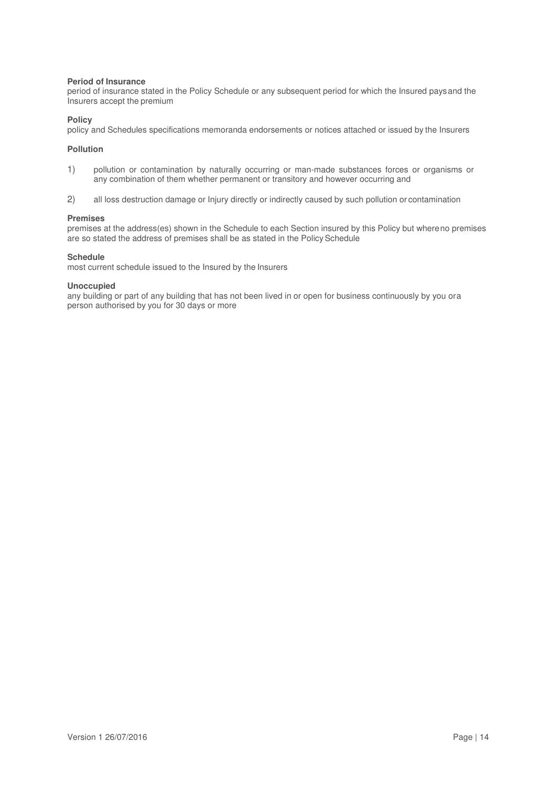### **Period of Insurance**

period of insurance stated in the Policy Schedule or any subsequent period for which the Insured pays and the Insurers accept the premium

### **Policy**

policy and Schedules specifications memoranda endorsements or notices attached or issued by the Insurers

### **Pollution**

- 1) pollution or contamination by naturally occurring or man-made substances forces or organisms or any combination of them whether permanent or transitory and however occurring and
- 2) all loss destruction damage or Injury directly or indirectly caused by such pollution or contamination

### **Premises**

premises at the address(es) shown in the Schedule to each Section insured by this Policy but where no premises are so stated the address of premises shall be as stated in the Policy Schedule

### **Schedule**

most current schedule issued to the Insured by the Insurers

### **Unoccupied**

any building or part of any building that has not been lived in or open for business continuously by you or a person authorised by you for 30 days or more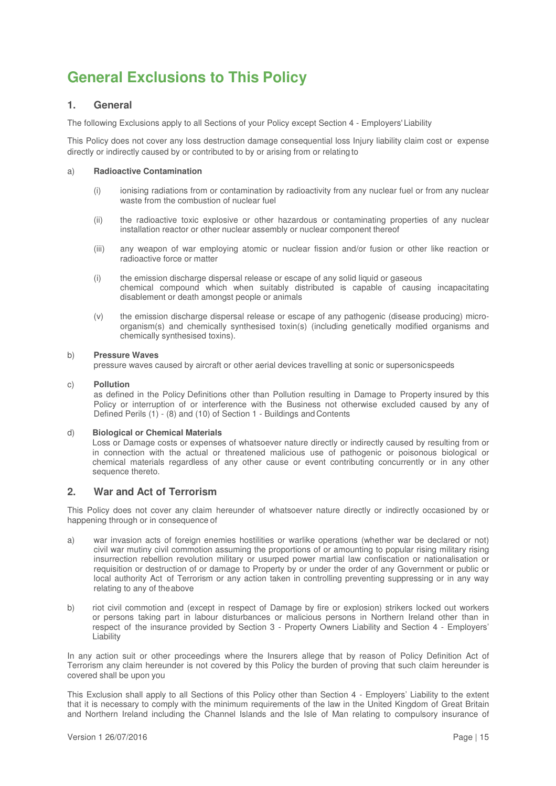# **General Exclusions to This Policy**

# **1. General**

The following Exclusions apply to all Sections of your Policy except Section 4 - Employers' Liability

This Policy does not cover any loss destruction damage consequential loss Injury liability claim cost or expense directly or indirectly caused by or contributed to by or arising from or relating to

### a) **Radioactive Contamination**

- (i) ionising radiations from or contamination by radioactivity from any nuclear fuel or from any nuclear waste from the combustion of nuclear fuel
- (ii) the radioactive toxic explosive or other hazardous or contaminating properties of any nuclear installation reactor or other nuclear assembly or nuclear component thereof
- (iii) any weapon of war employing atomic or nuclear fission and/or fusion or other like reaction or radioactive force or matter
- (i) the emission discharge dispersal release or escape of any solid liquid or gaseous chemical compound which when suitably distributed is capable of causing incapacitating disablement or death amongst people or animals
- (v) the emission discharge dispersal release or escape of any pathogenic (disease producing) microorganism(s) and chemically synthesised toxin(s) (including genetically modified organisms and chemically synthesised toxins).

### b) **Pressure Waves**

pressure waves caused by aircraft or other aerial devices travelling at sonic or supersonic speeds

### c) **Pollution**

as defined in the Policy Definitions other than Pollution resulting in Damage to Property insured by this Policy or interruption of or interference with the Business not otherwise excluded caused by any of Defined Perils (1) - (8) and (10) of Section 1 - Buildings and Contents

### d) **Biological or Chemical Materials**

Loss or Damage costs or expenses of whatsoever nature directly or indirectly caused by resulting from or in connection with the actual or threatened malicious use of pathogenic or poisonous biological or chemical materials regardless of any other cause or event contributing concurrently or in any other sequence thereto.

# **2. War and Act of Terrorism**

This Policy does not cover any claim hereunder of whatsoever nature directly or indirectly occasioned by or happening through or in consequence of

- a) war invasion acts of foreign enemies hostilities or warlike operations (whether war be declared or not) civil war mutiny civil commotion assuming the proportions of or amounting to popular rising military rising insurrection rebellion revolution military or usurped power martial law confiscation or nationalisation or requisition or destruction of or damage to Property by or under the order of any Government or public or local authority Act of Terrorism or any action taken in controlling preventing suppressing or in any way relating to any of the above
- b) riot civil commotion and (except in respect of Damage by fire or explosion) strikers locked out workers or persons taking part in labour disturbances or malicious persons in Northern Ireland other than in respect of the insurance provided by Section 3 - Property Owners Liability and Section 4 - Employers' Liability

In any action suit or other proceedings where the Insurers allege that by reason of Policy Definition Act of Terrorism any claim hereunder is not covered by this Policy the burden of proving that such claim hereunder is covered shall be upon you

This Exclusion shall apply to all Sections of this Policy other than Section 4 - Employers' Liability to the extent that it is necessary to comply with the minimum requirements of the law in the United Kingdom of Great Britain and Northern Ireland including the Channel Islands and the Isle of Man relating to compulsory insurance of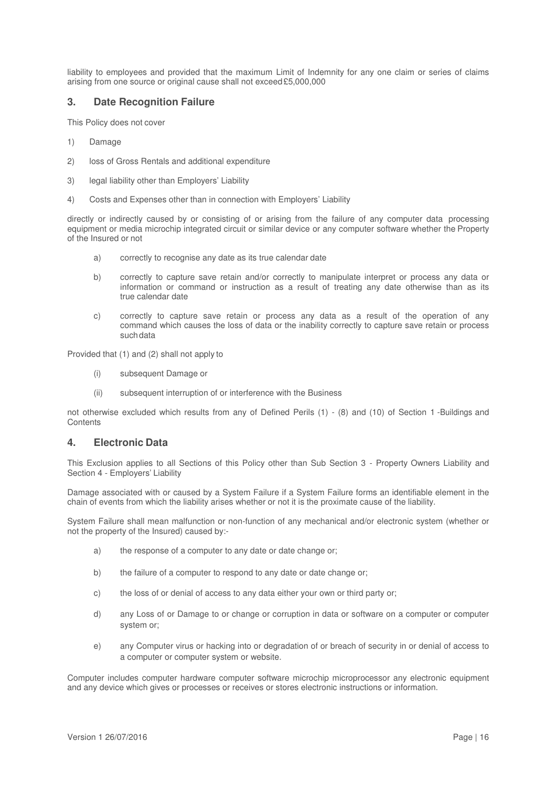liability to employees and provided that the maximum Limit of Indemnity for any one claim or series of claims arising from one source or original cause shall not exceed £5,000,000

# **3. Date Recognition Failure**

This Policy does not cover

- 1) Damage
- 2) loss of Gross Rentals and additional expenditure
- 3) legal liability other than Employers' Liability
- 4) Costs and Expenses other than in connection with Employers' Liability

directly or indirectly caused by or consisting of or arising from the failure of any computer data processing equipment or media microchip integrated circuit or similar device or any computer software whether the Property of the Insured or not

- a) correctly to recognise any date as its true calendar date
- b) correctly to capture save retain and/or correctly to manipulate interpret or process any data or information or command or instruction as a result of treating any date otherwise than as its true calendar date
- c) correctly to capture save retain or process any data as a result of the operation of any command which causes the loss of data or the inability correctly to capture save retain or process such data

Provided that (1) and (2) shall not apply to

- (i) subsequent Damage or
- (ii) subsequent interruption of or interference with the Business

not otherwise excluded which results from any of Defined Perils (1) - (8) and (10) of Section 1 -Buildings and **Contents** 

# **4. Electronic Data**

This Exclusion applies to all Sections of this Policy other than Sub Section 3 - Property Owners Liability and Section 4 - Employers' Liability

Damage associated with or caused by a System Failure if a System Failure forms an identifiable element in the chain of events from which the liability arises whether or not it is the proximate cause of the liability.

System Failure shall mean malfunction or non-function of any mechanical and/or electronic system (whether or not the property of the Insured) caused by:-

- a) the response of a computer to any date or date change or;
- b) the failure of a computer to respond to any date or date change or;
- c) the loss of or denial of access to any data either your own or third party or;
- d) any Loss of or Damage to or change or corruption in data or software on a computer or computer system or;
- e) any Computer virus or hacking into or degradation of or breach of security in or denial of access to a computer or computer system or website.

Computer includes computer hardware computer software microchip microprocessor any electronic equipment and any device which gives or processes or receives or stores electronic instructions or information.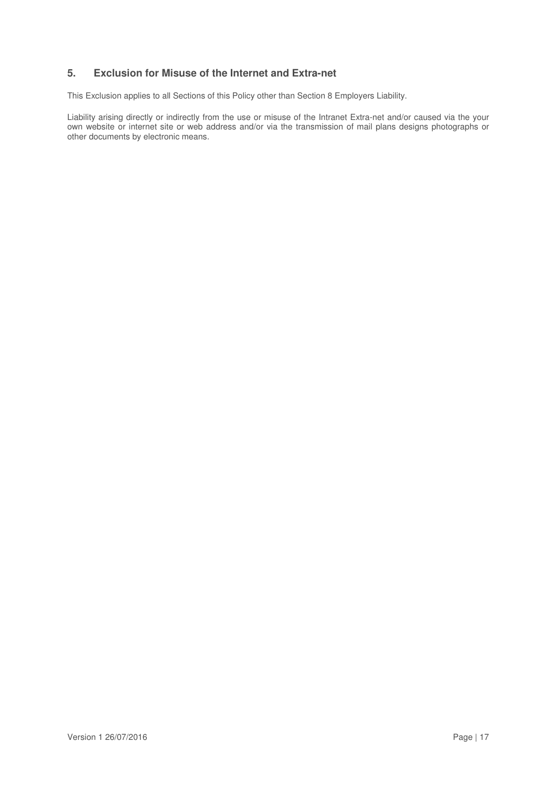# **5. Exclusion for Misuse of the Internet and Extra-net**

This Exclusion applies to all Sections of this Policy other than Section 8 Employers Liability.

Liability arising directly or indirectly from the use or misuse of the Intranet Extra-net and/or caused via the your own website or internet site or web address and/or via the transmission of mail plans designs photographs or other documents by electronic means.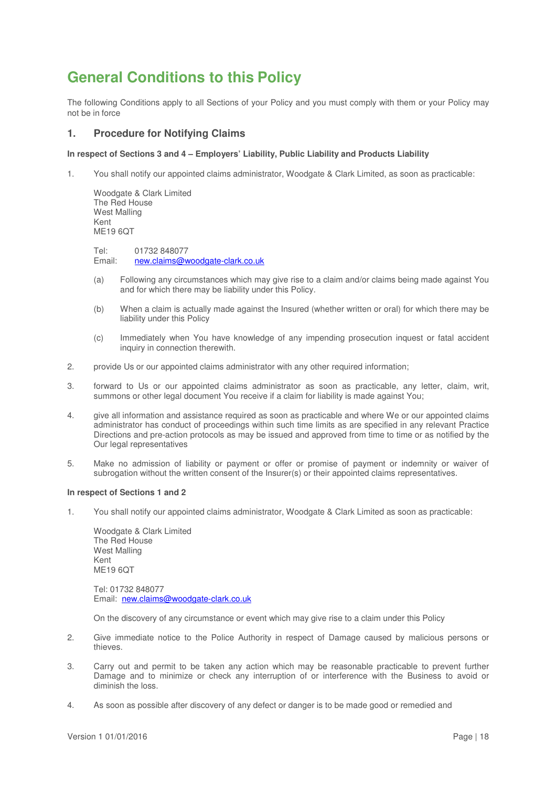# **General Conditions to this Policy**

The following Conditions apply to all Sections of your Policy and you must comply with them or your Policy may not be in force

# **1. Procedure for Notifying Claims**

### **In respect of Sections 3 and 4 – Employers' Liability, Public Liability and Products Liability**

1. You shall notify our appointed claims administrator, Woodgate & Clark Limited, as soon as practicable:

Woodgate & Clark Limited The Red House West Malling Kent ME19 6QT

Tel: 01732 848077<br>Email: new.claims@w new.claims@woodgate-clark.co.uk

- (a) Following any circumstances which may give rise to a claim and/or claims being made against You and for which there may be liability under this Policy.
- (b) When a claim is actually made against the Insured (whether written or oral) for which there may be liability under this Policy
- (c) Immediately when You have knowledge of any impending prosecution inquest or fatal accident inquiry in connection therewith.
- 2. provide Us or our appointed claims administrator with any other required information;
- 3. forward to Us or our appointed claims administrator as soon as practicable, any letter, claim, writ, summons or other legal document You receive if a claim for liability is made against You;
- 4. give all information and assistance required as soon as practicable and where We or our appointed claims administrator has conduct of proceedings within such time limits as are specified in any relevant Practice Directions and pre-action protocols as may be issued and approved from time to time or as notified by the Our legal representatives
- 5. Make no admission of liability or payment or offer or promise of payment or indemnity or waiver of subrogation without the written consent of the Insurer(s) or their appointed claims representatives.

### **In respect of Sections 1 and 2**

1. You shall notify our appointed claims administrator, Woodgate & Clark Limited as soon as practicable:

Woodgate & Clark Limited The Red House West Malling Kent ME<sub>19</sub> 6OT

Tel: 01732 848077 Email: new.claims@woodgate-clark.co.uk

On the discovery of any circumstance or event which may give rise to a claim under this Policy

- 2. Give immediate notice to the Police Authority in respect of Damage caused by malicious persons or thieves.
- 3. Carry out and permit to be taken any action which may be reasonable practicable to prevent further Damage and to minimize or check any interruption of or interference with the Business to avoid or diminish the loss.
- 4. As soon as possible after discovery of any defect or danger is to be made good or remedied and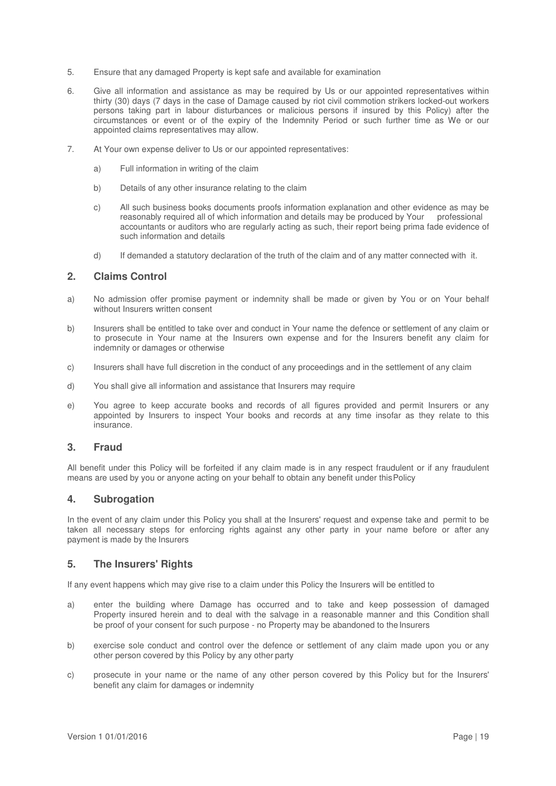- 5. Ensure that any damaged Property is kept safe and available for examination
- 6. Give all information and assistance as may be required by Us or our appointed representatives within thirty (30) days (7 days in the case of Damage caused by riot civil commotion strikers locked-out workers persons taking part in labour disturbances or malicious persons if insured by this Policy) after the circumstances or event or of the expiry of the Indemnity Period or such further time as We or our appointed claims representatives may allow.
- 7. At Your own expense deliver to Us or our appointed representatives:
	- a) Full information in writing of the claim
	- b) Details of any other insurance relating to the claim
	- c) All such business books documents proofs information explanation and other evidence as may be reasonably required all of which information and details may be produced by Your professional accountants or auditors who are regularly acting as such, their report being prima fade evidence of such information and details
	- d) If demanded a statutory declaration of the truth of the claim and of any matter connected with it.

# **2. Claims Control**

- a) No admission offer promise payment or indemnity shall be made or given by You or on Your behalf without Insurers written consent
- b) Insurers shall be entitled to take over and conduct in Your name the defence or settlement of any claim or to prosecute in Your name at the Insurers own expense and for the Insurers benefit any claim for indemnity or damages or otherwise
- c) Insurers shall have full discretion in the conduct of any proceedings and in the settlement of any claim
- d) You shall give all information and assistance that Insurers may require
- e) You agree to keep accurate books and records of all figures provided and permit Insurers or any appointed by Insurers to inspect Your books and records at any time insofar as they relate to this insurance.

# **3. Fraud**

All benefit under this Policy will be forfeited if any claim made is in any respect fraudulent or if any fraudulent means are used by you or anyone acting on your behalf to obtain any benefit under this Policy

# **4. Subrogation**

In the event of any claim under this Policy you shall at the Insurers' request and expense take and permit to be taken all necessary steps for enforcing rights against any other party in your name before or after any payment is made by the Insurers

# **5. The Insurers' Rights**

If any event happens which may give rise to a claim under this Policy the Insurers will be entitled to

- a) enter the building where Damage has occurred and to take and keep possession of damaged Property insured herein and to deal with the salvage in a reasonable manner and this Condition shall be proof of your consent for such purpose - no Property may be abandoned to the Insurers
- b) exercise sole conduct and control over the defence or settlement of any claim made upon you or any other person covered by this Policy by any other party
- c) prosecute in your name or the name of any other person covered by this Policy but for the Insurers' benefit any claim for damages or indemnity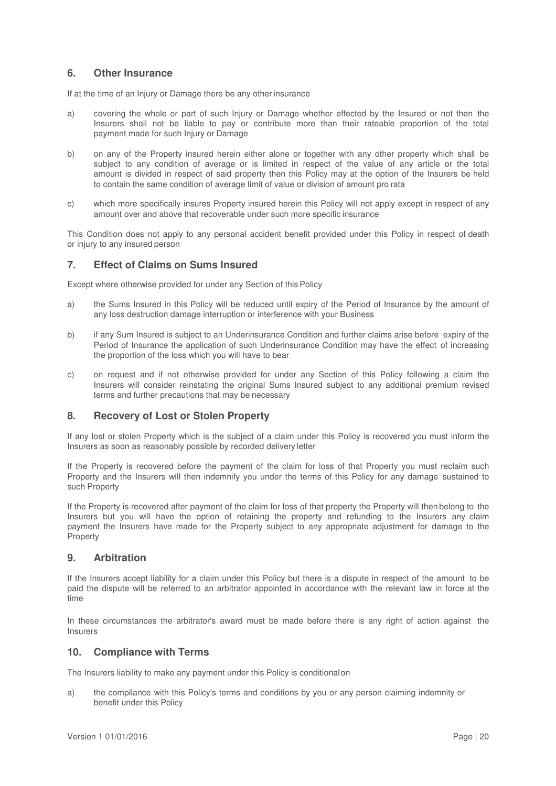# **6. Other Insurance**

If at the time of an Injury or Damage there be any other insurance

- a) covering the whole or part of such Injury or Damage whether effected by the Insured or not then the Insurers shall not be liable to pay or contribute more than their rateable proportion of the total payment made for such Injury or Damage
- b) on any of the Property insured herein either alone or together with any other property which shall be subject to any condition of average or is limited in respect of the value of any article or the total amount is divided in respect of said property then this Policy may at the option of the Insurers be held to contain the same condition of average limit of value or division of amount pro rata
- c) which more specifically insures Property insured herein this Policy will not apply except in respect of any amount over and above that recoverable under such more specific insurance

This Condition does not apply to any personal accident benefit provided under this Policy in respect of death or injury to any insured person

# **7. Effect of Claims on Sums Insured**

Except where otherwise provided for under any Section of this Policy

- a) the Sums Insured in this Policy will be reduced until expiry of the Period of Insurance by the amount of any loss destruction damage interruption or interference with your Business
- b) if any Sum Insured is subject to an Underinsurance Condition and further claims arise before expiry of the Period of Insurance the application of such Underinsurance Condition may have the effect of increasing the proportion of the loss which you will have to bear
- c) on request and if not otherwise provided for under any Section of this Policy following a claim the Insurers will consider reinstating the original Sums Insured subject to any additional premium revised terms and further precautions that may be necessary

# **8. Recovery of Lost or Stolen Property**

If any lost or stolen Property which is the subject of a claim under this Policy is recovered you must inform the Insurers as soon as reasonably possible by recorded delivery letter

If the Property is recovered before the payment of the claim for loss of that Property you must reclaim such Property and the Insurers will then indemnify you under the terms of this Policy for any damage sustained to such Property

If the Property is recovered after payment of the claim for loss of that property the Property will then belong to the Insurers but you will have the option of retaining the property and refunding to the Insurers any claim payment the Insurers have made for the Property subject to any appropriate adjustment for damage to the Property

# **9. Arbitration**

If the Insurers accept liability for a claim under this Policy but there is a dispute in respect of the amount to be paid the dispute will be referred to an arbitrator appointed in accordance with the relevant law in force at the time

In these circumstances the arbitrator's award must be made before there is any right of action against the Insurers

# **10. Compliance with Terms**

The Insurers liability to make any payment under this Policy is conditional on

a) the compliance with this Policy's terms and conditions by you or any person claiming indemnity or benefit under this Policy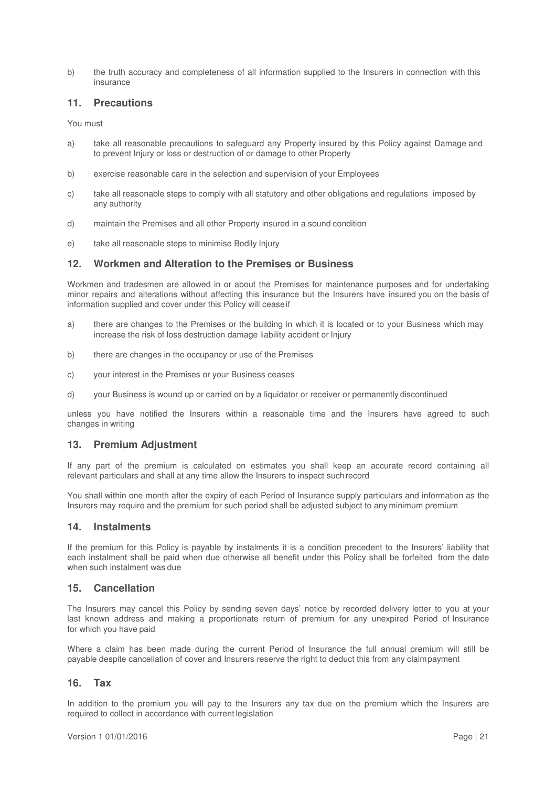b) the truth accuracy and completeness of all information supplied to the Insurers in connection with this ingurance

# **11. Precautions**

You must

- a) take all reasonable precautions to safeguard any Property insured by this Policy against Damage and to prevent Injury or loss or destruction of or damage to other Property
- b) exercise reasonable care in the selection and supervision of your Employees
- c) take all reasonable steps to comply with all statutory and other obligations and regulations imposed by any authority
- d) maintain the Premises and all other Property insured in a sound condition
- e) take all reasonable steps to minimise Bodily Injury

# **12. Workmen and Alteration to the Premises or Business**

Workmen and tradesmen are allowed in or about the Premises for maintenance purposes and for undertaking minor repairs and alterations without affecting this insurance but the Insurers have insured you on the basis of information supplied and cover under this Policy will cease if

- a) there are changes to the Premises or the building in which it is located or to your Business which may increase the risk of loss destruction damage liability accident or Injury
- b) there are changes in the occupancy or use of the Premises
- c) your interest in the Premises or your Business ceases
- d) your Business is wound up or carried on by a liquidator or receiver or permanently discontinued

unless you have notified the Insurers within a reasonable time and the Insurers have agreed to such changes in writing

# **13. Premium Adjustment**

If any part of the premium is calculated on estimates you shall keep an accurate record containing all relevant particulars and shall at any time allow the Insurers to inspect such record

You shall within one month after the expiry of each Period of Insurance supply particulars and information as the Insurers may require and the premium for such period shall be adjusted subject to any minimum premium

### **14. Instalments**

If the premium for this Policy is payable by instalments it is a condition precedent to the Insurers' liability that each instalment shall be paid when due otherwise all benefit under this Policy shall be forfeited from the date when such instalment was due

# **15. Cancellation**

The Insurers may cancel this Policy by sending seven days' notice by recorded delivery letter to you at your last known address and making a proportionate return of premium for any unexpired Period of Insurance for which you have paid

Where a claim has been made during the current Period of Insurance the full annual premium will still be payable despite cancellation of cover and Insurers reserve the right to deduct this from any claim payment

# **16. Tax**

In addition to the premium you will pay to the Insurers any tax due on the premium which the Insurers are required to collect in accordance with current legislation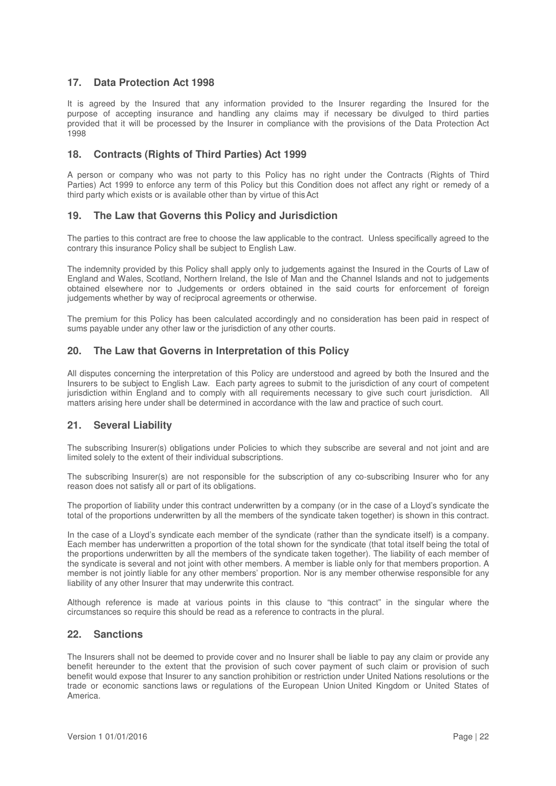# **17. Data Protection Act 1998**

It is agreed by the Insured that any information provided to the Insurer regarding the Insured for the purpose of accepting insurance and handling any claims may if necessary be divulged to third parties provided that it will be processed by the Insurer in compliance with the provisions of the Data Protection Act 1998

# **18. Contracts (Rights of Third Parties) Act 1999**

A person or company who was not party to this Policy has no right under the Contracts (Rights of Third Parties) Act 1999 to enforce any term of this Policy but this Condition does not affect any right or remedy of a third party which exists or is available other than by virtue of this Act

# **19. The Law that Governs this Policy and Jurisdiction**

The parties to this contract are free to choose the law applicable to the contract. Unless specifically agreed to the contrary this insurance Policy shall be subject to English Law.

The indemnity provided by this Policy shall apply only to judgements against the Insured in the Courts of Law of England and Wales, Scotland, Northern Ireland, the Isle of Man and the Channel Islands and not to judgements obtained elsewhere nor to Judgements or orders obtained in the said courts for enforcement of foreign judgements whether by way of reciprocal agreements or otherwise.

The premium for this Policy has been calculated accordingly and no consideration has been paid in respect of sums payable under any other law or the jurisdiction of any other courts.

# **20. The Law that Governs in Interpretation of this Policy**

All disputes concerning the interpretation of this Policy are understood and agreed by both the Insured and the Insurers to be subject to English Law. Each party agrees to submit to the jurisdiction of any court of competent jurisdiction within England and to comply with all requirements necessary to give such court jurisdiction. All matters arising here under shall be determined in accordance with the law and practice of such court.

# **21. Several Liability**

The subscribing Insurer(s) obligations under Policies to which they subscribe are several and not joint and are limited solely to the extent of their individual subscriptions.

The subscribing Insurer(s) are not responsible for the subscription of any co-subscribing Insurer who for any reason does not satisfy all or part of its obligations.

The proportion of liability under this contract underwritten by a company (or in the case of a Lloyd's syndicate the total of the proportions underwritten by all the members of the syndicate taken together) is shown in this contract.

In the case of a Lloyd's syndicate each member of the syndicate (rather than the syndicate itself) is a company. Each member has underwritten a proportion of the total shown for the syndicate (that total itself being the total of the proportions underwritten by all the members of the syndicate taken together). The liability of each member of the syndicate is several and not joint with other members. A member is liable only for that members proportion. A member is not jointly liable for any other members' proportion. Nor is any member otherwise responsible for any liability of any other Insurer that may underwrite this contract.

Although reference is made at various points in this clause to "this contract" in the singular where the circumstances so require this should be read as a reference to contracts in the plural.

# **22. Sanctions**

The Insurers shall not be deemed to provide cover and no Insurer shall be liable to pay any claim or provide any benefit hereunder to the extent that the provision of such cover payment of such claim or provision of such benefit would expose that Insurer to any sanction prohibition or restriction under United Nations resolutions or the trade or economic sanctions laws or regulations of the European Union United Kingdom or United States of America.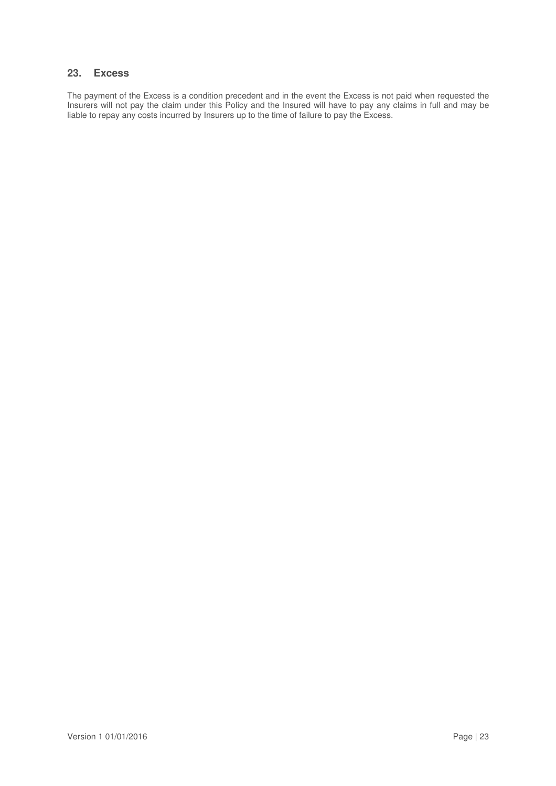# **23. Excess**

The payment of the Excess is a condition precedent and in the event the Excess is not paid when requested the Insurers will not pay the claim under this Policy and the Insured will have to pay any claims in full and may be liable to repay any costs incurred by Insurers up to the time of failure to pay the Excess.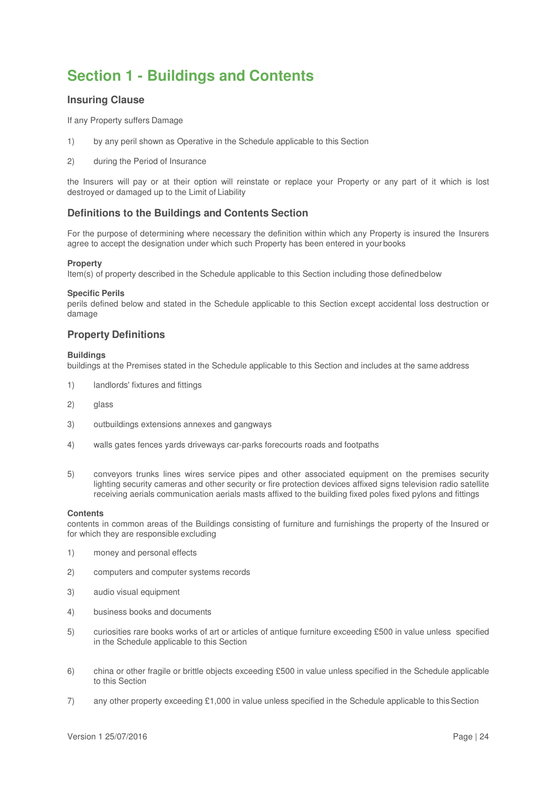# **Section 1 - Buildings and Contents**

# **Insuring Clause**

If any Property suffers Damage

- 1) by any peril shown as Operative in the Schedule applicable to this Section
- 2) during the Period of Insurance

the Insurers will pay or at their option will reinstate or replace your Property or any part of it which is lost destroyed or damaged up to the Limit of Liability

# **Definitions to the Buildings and Contents Section**

For the purpose of determining where necessary the definition within which any Property is insured the Insurers agree to accept the designation under which such Property has been entered in your books

### **Property**

Item(s) of property described in the Schedule applicable to this Section including those defined below

### **Specific Perils**

perils defined below and stated in the Schedule applicable to this Section except accidental loss destruction or damage

# **Property Definitions**

### **Buildings**

buildings at the Premises stated in the Schedule applicable to this Section and includes at the same address

- 1) landlords' fixtures and fittings
- 2) glass
- 3) outbuildings extensions annexes and gangways
- 4) walls gates fences yards driveways car-parks forecourts roads and footpaths
- 5) conveyors trunks lines wires service pipes and other associated equipment on the premises security lighting security cameras and other security or fire protection devices affixed signs television radio satellite receiving aerials communication aerials masts affixed to the building fixed poles fixed pylons and fittings

#### **Contents**

contents in common areas of the Buildings consisting of furniture and furnishings the property of the Insured or for which they are responsible excluding

- 1) money and personal effects
- 2) computers and computer systems records
- 3) audio visual equipment
- 4) business books and documents
- 5) curiosities rare books works of art or articles of antique furniture exceeding £500 in value unless specified in the Schedule applicable to this Section
- 6) china or other fragile or brittle objects exceeding £500 in value unless specified in the Schedule applicable to this Section
- 7) any other property exceeding £1,000 in value unless specified in the Schedule applicable to this Section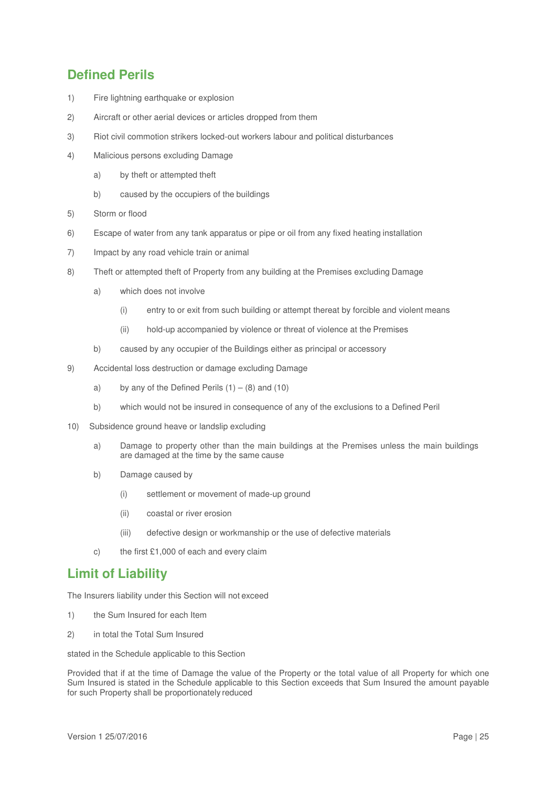# **Defined Perils**

- 1) Fire lightning earthquake or explosion
- 2) Aircraft or other aerial devices or articles dropped from them
- 3) Riot civil commotion strikers locked-out workers labour and political disturbances
- 4) Malicious persons excluding Damage
	- a) by theft or attempted theft
	- b) caused by the occupiers of the buildings
- 5) Storm or flood
- 6) Escape of water from any tank apparatus or pipe or oil from any fixed heating installation
- 7) Impact by any road vehicle train or animal
- 8) Theft or attempted theft of Property from any building at the Premises excluding Damage
	- a) which does not involve
		- (i) entry to or exit from such building or attempt thereat by forcible and violent means
		- (ii) hold-up accompanied by violence or threat of violence at the Premises
	- b) caused by any occupier of the Buildings either as principal or accessory
- 9) Accidental loss destruction or damage excluding Damage
	- a) by any of the Defined Perils  $(1) (8)$  and  $(10)$
	- b) which would not be insured in consequence of any of the exclusions to a Defined Peril
- 10) Subsidence ground heave or landslip excluding
	- a) Damage to property other than the main buildings at the Premises unless the main buildings are damaged at the time by the same cause
	- b) Damage caused by
		- (i) settlement or movement of made-up ground
		- (ii) coastal or river erosion
		- (iii) defective design or workmanship or the use of defective materials
	- c) the first £1,000 of each and every claim

# **Limit of Liability**

The Insurers liability under this Section will not exceed

- 1) the Sum Insured for each Item
- 2) in total the Total Sum Insured

stated in the Schedule applicable to this Section

Provided that if at the time of Damage the value of the Property or the total value of all Property for which one Sum Insured is stated in the Schedule applicable to this Section exceeds that Sum Insured the amount payable for such Property shall be proportionately reduced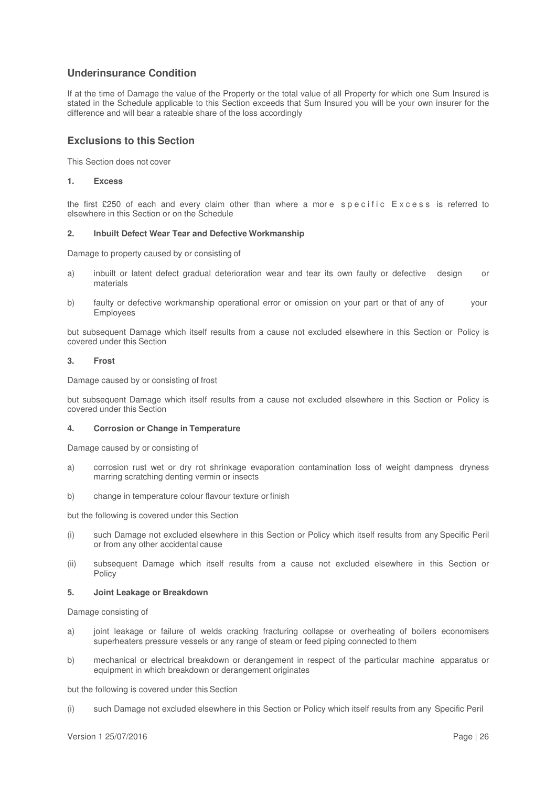# **Underinsurance Condition**

If at the time of Damage the value of the Property or the total value of all Property for which one Sum Insured is stated in the Schedule applicable to this Section exceeds that Sum Insured you will be your own insurer for the difference and will bear a rateable share of the loss accordingly

# **Exclusions to this Section**

This Section does not cover

### **1. Excess**

the first £250 of each and every claim other than where a more specific Excess is referred to elsewhere in this Section or on the Schedule

### **2. Inbuilt Defect Wear Tear and Defective Workmanship**

Damage to property caused by or consisting of

- a) inbuilt or latent defect gradual deterioration wear and tear its own faulty or defective design or materials
- b) faulty or defective workmanship operational error or omission on your part or that of any of your Employees

but subsequent Damage which itself results from a cause not excluded elsewhere in this Section or Policy is covered under this Section

### **3. Frost**

Damage caused by or consisting of frost

but subsequent Damage which itself results from a cause not excluded elsewhere in this Section or Policy is covered under this Section

### **4. Corrosion or Change in Temperature**

Damage caused by or consisting of

- a) corrosion rust wet or dry rot shrinkage evaporation contamination loss of weight dampness dryness marring scratching denting vermin or insects
- b) change in temperature colour flavour texture or finish

but the following is covered under this Section

- (i) such Damage not excluded elsewhere in this Section or Policy which itself results from any Specific Peril or from any other accidental cause
- (ii) subsequent Damage which itself results from a cause not excluded elsewhere in this Section or Policy

### **5. Joint Leakage or Breakdown**

Damage consisting of

- a) joint leakage or failure of welds cracking fracturing collapse or overheating of boilers economisers superheaters pressure vessels or any range of steam or feed piping connected to them
- b) mechanical or electrical breakdown or derangement in respect of the particular machine apparatus or equipment in which breakdown or derangement originates

but the following is covered under this Section

(i) such Damage not excluded elsewhere in this Section or Policy which itself results from any Specific Peril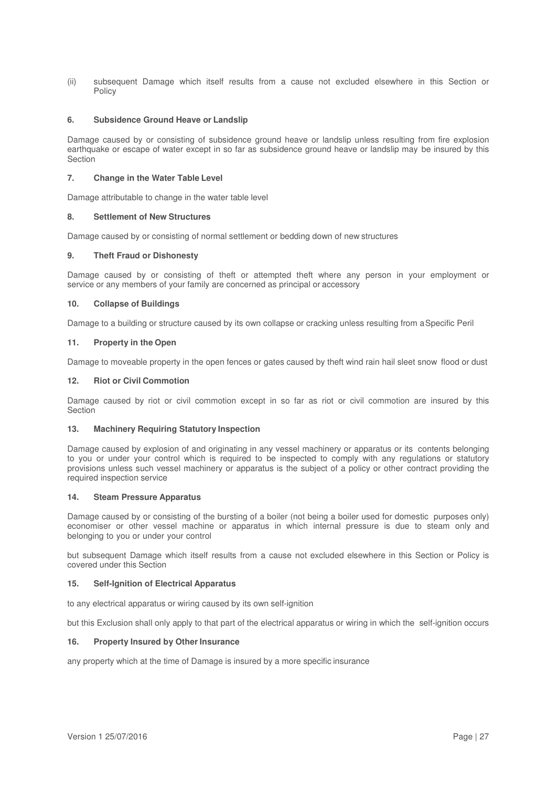(ii) subsequent Damage which itself results from a cause not excluded elsewhere in this Section or Policy

### **6. Subsidence Ground Heave or Landslip**

Damage caused by or consisting of subsidence ground heave or landslip unless resulting from fire explosion earthquake or escape of water except in so far as subsidence ground heave or landslip may be insured by this **Section** 

### **7. Change in the Water Table Level**

Damage attributable to change in the water table level

### **8. Settlement of New Structures**

Damage caused by or consisting of normal settlement or bedding down of new structures

### **9. Theft Fraud or Dishonesty**

Damage caused by or consisting of theft or attempted theft where any person in your employment or service or any members of your family are concerned as principal or accessory

### **10. Collapse of Buildings**

Damage to a building or structure caused by its own collapse or cracking unless resulting from a Specific Peril

### **11. Property in the Open**

Damage to moveable property in the open fences or gates caused by theft wind rain hail sleet snow flood or dust

### **12. Riot or Civil Commotion**

Damage caused by riot or civil commotion except in so far as riot or civil commotion are insured by this **Section** 

#### **13. Machinery Requiring Statutory Inspection**

Damage caused by explosion of and originating in any vessel machinery or apparatus or its contents belonging to you or under your control which is required to be inspected to comply with any regulations or statutory provisions unless such vessel machinery or apparatus is the subject of a policy or other contract providing the required inspection service

### **14. Steam Pressure Apparatus**

Damage caused by or consisting of the bursting of a boiler (not being a boiler used for domestic purposes only) economiser or other vessel machine or apparatus in which internal pressure is due to steam only and belonging to you or under your control

but subsequent Damage which itself results from a cause not excluded elsewhere in this Section or Policy is covered under this Section

### **15. Self-Ignition of Electrical Apparatus**

to any electrical apparatus or wiring caused by its own self-ignition

but this Exclusion shall only apply to that part of the electrical apparatus or wiring in which the self-ignition occurs

### **16. Property Insured by Other Insurance**

any property which at the time of Damage is insured by a more specific insurance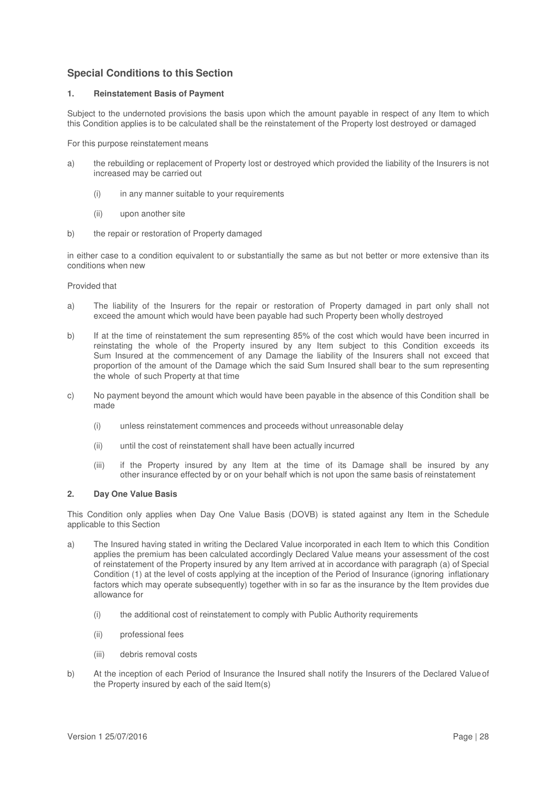# **Special Conditions to this Section**

### **1. Reinstatement Basis of Payment**

Subject to the undernoted provisions the basis upon which the amount payable in respect of any Item to which this Condition applies is to be calculated shall be the reinstatement of the Property lost destroyed or damaged

For this purpose reinstatement means

- a) the rebuilding or replacement of Property lost or destroyed which provided the liability of the Insurers is not increased may be carried out
	- (i) in any manner suitable to your requirements
	- (ii) upon another site
- b) the repair or restoration of Property damaged

in either case to a condition equivalent to or substantially the same as but not better or more extensive than its conditions when new

Provided that

- a) The liability of the Insurers for the repair or restoration of Property damaged in part only shall not exceed the amount which would have been payable had such Property been wholly destroyed
- b) If at the time of reinstatement the sum representing 85% of the cost which would have been incurred in reinstating the whole of the Property insured by any Item subject to this Condition exceeds its Sum Insured at the commencement of any Damage the liability of the Insurers shall not exceed that proportion of the amount of the Damage which the said Sum Insured shall bear to the sum representing the whole of such Property at that time
- c) No payment beyond the amount which would have been payable in the absence of this Condition shall be made
	- (i) unless reinstatement commences and proceeds without unreasonable delay
	- (ii) until the cost of reinstatement shall have been actually incurred
	- (iii) if the Property insured by any Item at the time of its Damage shall be insured by any other insurance effected by or on your behalf which is not upon the same basis of reinstatement

### **2. Day One Value Basis**

This Condition only applies when Day One Value Basis (DOVB) is stated against any Item in the Schedule applicable to this Section

- a) The Insured having stated in writing the Declared Value incorporated in each Item to which this Condition applies the premium has been calculated accordingly Declared Value means your assessment of the cost of reinstatement of the Property insured by any Item arrived at in accordance with paragraph (a) of Special Condition (1) at the level of costs applying at the inception of the Period of Insurance (ignoring inflationary factors which may operate subsequently) together with in so far as the insurance by the Item provides due allowance for
	- (i) the additional cost of reinstatement to comply with Public Authority requirements
	- (ii) professional fees
	- (iii) debris removal costs
- b) At the inception of each Period of Insurance the Insured shall notify the Insurers of the Declared Value of the Property insured by each of the said Item(s)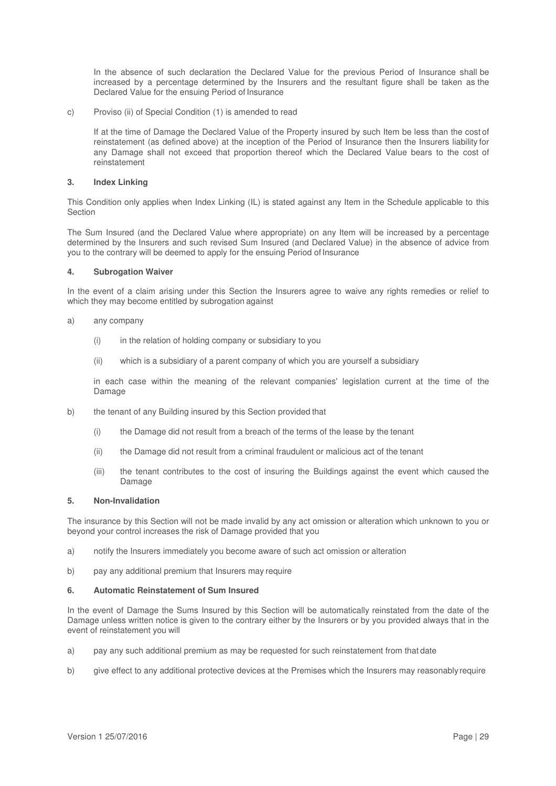In the absence of such declaration the Declared Value for the previous Period of Insurance shall be increased by a percentage determined by the Insurers and the resultant figure shall be taken as the Declared Value for the ensuing Period of Insurance

c) Proviso (ii) of Special Condition (1) is amended to read

If at the time of Damage the Declared Value of the Property insured by such Item be less than the cost of reinstatement (as defined above) at the inception of the Period of Insurance then the Insurers liability for any Damage shall not exceed that proportion thereof which the Declared Value bears to the cost of reinstatement

### **3. Index Linking**

This Condition only applies when Index Linking (IL) is stated against any Item in the Schedule applicable to this Section

The Sum Insured (and the Declared Value where appropriate) on any Item will be increased by a percentage determined by the Insurers and such revised Sum Insured (and Declared Value) in the absence of advice from you to the contrary will be deemed to apply for the ensuing Period of Insurance

### **4. Subrogation Waiver**

In the event of a claim arising under this Section the Insurers agree to waive any rights remedies or relief to which they may become entitled by subrogation against

- a) any company
	- $(i)$  in the relation of holding company or subsidiary to you
	- (ii) which is a subsidiary of a parent company of which you are yourself a subsidiary

in each case within the meaning of the relevant companies' legislation current at the time of the Damage

- b) the tenant of any Building insured by this Section provided that
	- (i) the Damage did not result from a breach of the terms of the lease by the tenant
	- (ii) the Damage did not result from a criminal fraudulent or malicious act of the tenant
	- (iii) the tenant contributes to the cost of insuring the Buildings against the event which caused the Damage

### **5. Non-Invalidation**

The insurance by this Section will not be made invalid by any act omission or alteration which unknown to you or beyond your control increases the risk of Damage provided that you

- a) notify the Insurers immediately you become aware of such act omission or alteration
- b) pay any additional premium that Insurers may require

### **6. Automatic Reinstatement of Sum Insured**

In the event of Damage the Sums Insured by this Section will be automatically reinstated from the date of the Damage unless written notice is given to the contrary either by the Insurers or by you provided always that in the event of reinstatement you will

- a) pay any such additional premium as may be requested for such reinstatement from that date
- b) give effect to any additional protective devices at the Premises which the Insurers may reasonably require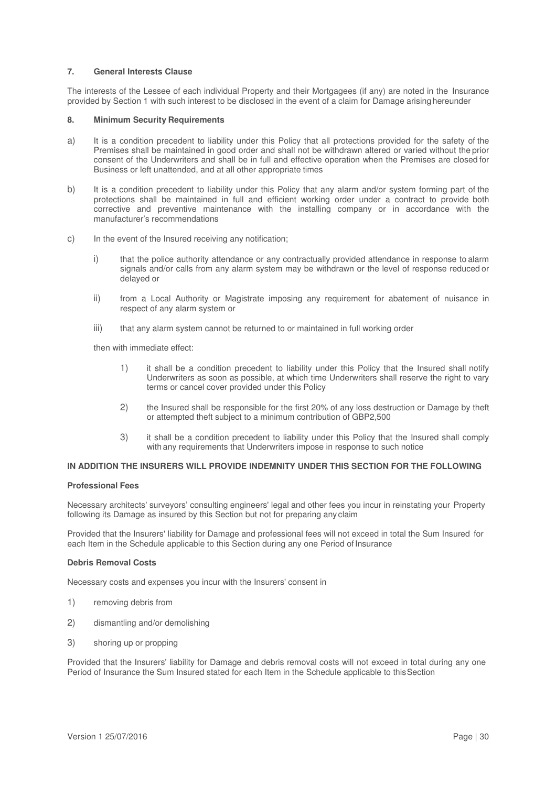### **7. General Interests Clause**

The interests of the Lessee of each individual Property and their Mortgagees (if any) are noted in the Insurance provided by Section 1 with such interest to be disclosed in the event of a claim for Damage arising hereunder

### **8. Minimum Security Requirements**

- a) It is a condition precedent to liability under this Policy that all protections provided for the safety of the Premises shall be maintained in good order and shall not be withdrawn altered or varied without the prior consent of the Underwriters and shall be in full and effective operation when the Premises are closed for Business or left unattended, and at all other appropriate times
- b) It is a condition precedent to liability under this Policy that any alarm and/or system forming part of the protections shall be maintained in full and efficient working order under a contract to provide both corrective and preventive maintenance with the installing company or in accordance with the manufacturer's recommendations
- c) In the event of the Insured receiving any notification;
	- i) that the police authority attendance or any contractually provided attendance in response to alarm signals and/or calls from any alarm system may be withdrawn or the level of response reduced or delayed or
	- ii) from a Local Authority or Magistrate imposing any requirement for abatement of nuisance in respect of any alarm system or
	- iii) that any alarm system cannot be returned to or maintained in full working order

then with immediate effect:

- 1) it shall be a condition precedent to liability under this Policy that the Insured shall notify Underwriters as soon as possible, at which time Underwriters shall reserve the right to vary terms or cancel cover provided under this Policy
- 2) the Insured shall be responsible for the first 20% of any loss destruction or Damage by theft or attempted theft subject to a minimum contribution of GBP2,500
- 3) it shall be a condition precedent to liability under this Policy that the Insured shall comply with any requirements that Underwriters impose in response to such notice

### **IN ADDITION THE INSURERS WILL PROVIDE INDEMNITY UNDER THIS SECTION FOR THE FOLLOWING**

### **Professional Fees**

Necessary architects' surveyors' consulting engineers' legal and other fees you incur in reinstating your Property following its Damage as insured by this Section but not for preparing any claim

Provided that the Insurers' liability for Damage and professional fees will not exceed in total the Sum Insured for each Item in the Schedule applicable to this Section during any one Period of Insurance

#### **Debris Removal Costs**

Necessary costs and expenses you incur with the Insurers' consent in

- 1) removing debris from
- 2) dismantling and/or demolishing
- 3) shoring up or propping

Provided that the Insurers' liability for Damage and debris removal costs will not exceed in total during any one Period of Insurance the Sum Insured stated for each Item in the Schedule applicable to this Section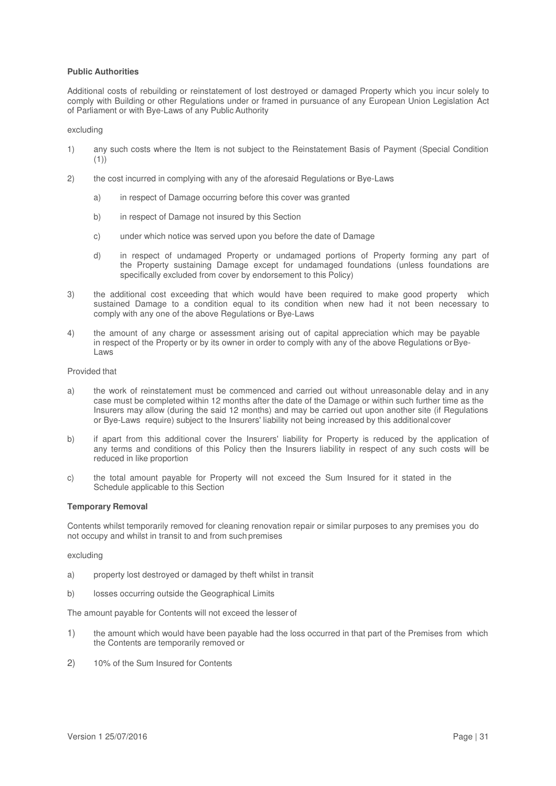### **Public Authorities**

Additional costs of rebuilding or reinstatement of lost destroyed or damaged Property which you incur solely to comply with Building or other Regulations under or framed in pursuance of any European Union Legislation Act of Parliament or with Bye-Laws of any Public Authority

### excluding

- 1) any such costs where the Item is not subject to the Reinstatement Basis of Payment (Special Condition (1))
- 2) the cost incurred in complying with any of the aforesaid Regulations or Bye-Laws
	- a) in respect of Damage occurring before this cover was granted
	- b) in respect of Damage not insured by this Section
	- c) under which notice was served upon you before the date of Damage
	- d) in respect of undamaged Property or undamaged portions of Property forming any part of the Property sustaining Damage except for undamaged foundations (unless foundations are specifically excluded from cover by endorsement to this Policy)
- 3) the additional cost exceeding that which would have been required to make good property which sustained Damage to a condition equal to its condition when new had it not been necessary to comply with any one of the above Regulations or Bye-Laws
- 4) the amount of any charge or assessment arising out of capital appreciation which may be payable in respect of the Property or by its owner in order to comply with any of the above Regulations or Bye-Laws

### Provided that

- a) the work of reinstatement must be commenced and carried out without unreasonable delay and in any case must be completed within 12 months after the date of the Damage or within such further time as the Insurers may allow (during the said 12 months) and may be carried out upon another site (if Regulations or Bye-Laws require) subject to the Insurers' liability not being increased by this additional cover
- b) if apart from this additional cover the Insurers' liability for Property is reduced by the application of any terms and conditions of this Policy then the Insurers liability in respect of any such costs will be reduced in like proportion
- c) the total amount payable for Property will not exceed the Sum Insured for it stated in the Schedule applicable to this Section

### **Temporary Removal**

Contents whilst temporarily removed for cleaning renovation repair or similar purposes to any premises you do not occupy and whilst in transit to and from such premises

excluding

- a) property lost destroyed or damaged by theft whilst in transit
- b) losses occurring outside the Geographical Limits

The amount payable for Contents will not exceed the lesser of

- 1) the amount which would have been payable had the loss occurred in that part of the Premises from which the Contents are temporarily removed or
- 2) 10% of the Sum Insured for Contents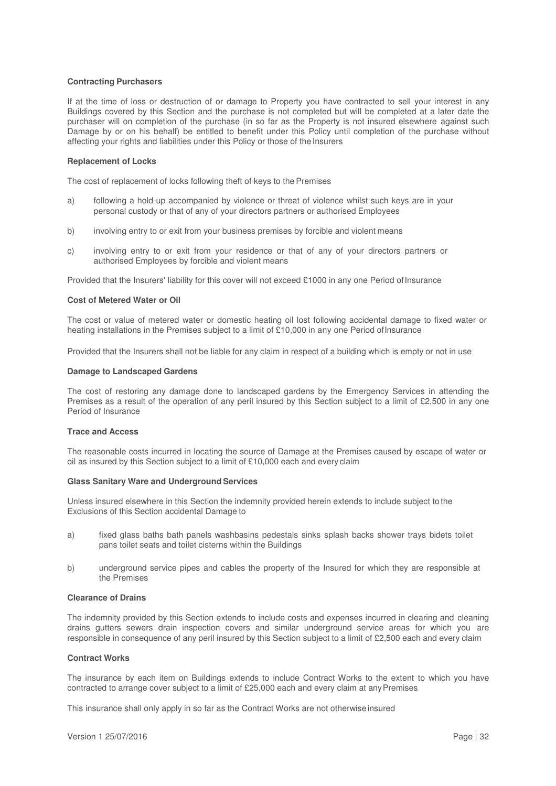### **Contracting Purchasers**

If at the time of loss or destruction of or damage to Property you have contracted to sell your interest in any Buildings covered by this Section and the purchase is not completed but will be completed at a later date the purchaser will on completion of the purchase (in so far as the Property is not insured elsewhere against such Damage by or on his behalf) be entitled to benefit under this Policy until completion of the purchase without affecting your rights and liabilities under this Policy or those of the Insurers

#### **Replacement of Locks**

The cost of replacement of locks following theft of keys to the Premises

- a) following a hold-up accompanied by violence or threat of violence whilst such keys are in your personal custody or that of any of your directors partners or authorised Employees
- b) involving entry to or exit from your business premises by forcible and violent means
- c) involving entry to or exit from your residence or that of any of your directors partners or authorised Employees by forcible and violent means

Provided that the Insurers' liability for this cover will not exceed £1000 in any one Period of Insurance

### **Cost of Metered Water or Oil**

The cost or value of metered water or domestic heating oil lost following accidental damage to fixed water or heating installations in the Premises subject to a limit of £10,000 in any one Period of Insurance

Provided that the Insurers shall not be liable for any claim in respect of a building which is empty or not in use

### **Damage to Landscaped Gardens**

The cost of restoring any damage done to landscaped gardens by the Emergency Services in attending the Premises as a result of the operation of any peril insured by this Section subject to a limit of £2,500 in any one Period of Insurance

### **Trace and Access**

The reasonable costs incurred in locating the source of Damage at the Premises caused by escape of water or oil as insured by this Section subject to a limit of £10,000 each and every claim

#### **Glass Sanitary Ware and Underground Services**

Unless insured elsewhere in this Section the indemnity provided herein extends to include subject to the Exclusions of this Section accidental Damage to

- a) fixed glass baths bath panels washbasins pedestals sinks splash backs shower trays bidets toilet pans toilet seats and toilet cisterns within the Buildings
- b) underground service pipes and cables the property of the Insured for which they are responsible at the Premises

### **Clearance of Drains**

The indemnity provided by this Section extends to include costs and expenses incurred in clearing and cleaning drains gutters sewers drain inspection covers and similar underground service areas for which you are responsible in consequence of any peril insured by this Section subject to a limit of £2,500 each and every claim

### **Contract Works**

The insurance by each item on Buildings extends to include Contract Works to the extent to which you have contracted to arrange cover subject to a limit of £25,000 each and every claim at any Premises

This insurance shall only apply in so far as the Contract Works are not otherwise insured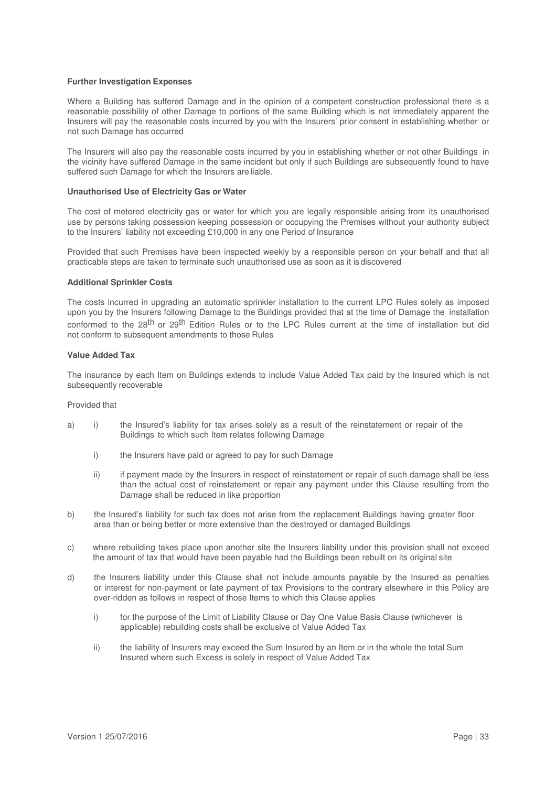### **Further Investigation Expenses**

Where a Building has suffered Damage and in the opinion of a competent construction professional there is a reasonable possibility of other Damage to portions of the same Building which is not immediately apparent the Insurers will pay the reasonable costs incurred by you with the Insurers' prior consent in establishing whether or not such Damage has occurred

The Insurers will also pay the reasonable costs incurred by you in establishing whether or not other Buildings in the vicinity have suffered Damage in the same incident but only if such Buildings are subsequently found to have suffered such Damage for which the Insurers are liable.

### **Unauthorised Use of Electricity Gas or Water**

The cost of metered electricity gas or water for which you are legally responsible arising from its unauthorised use by persons taking possession keeping possession or occupying the Premises without your authority subject to the Insurers' liability not exceeding £10,000 in any one Period of Insurance

Provided that such Premises have been inspected weekly by a responsible person on your behalf and that all practicable steps are taken to terminate such unauthorised use as soon as it is discovered

### **Additional Sprinkler Costs**

The costs incurred in upgrading an automatic sprinkler installation to the current LPC Rules solely as imposed upon you by the Insurers following Damage to the Buildings provided that at the time of Damage the installation conformed to the 28<sup>th</sup> or 29<sup>th</sup> Edition Rules or to the LPC Rules current at the time of installation but did not conform to subsequent amendments to those Rules

### **Value Added Tax**

The insurance by each Item on Buildings extends to include Value Added Tax paid by the Insured which is not subsequently recoverable

### Provided that

- a) i) the Insured's liability for tax arises solely as a result of the reinstatement or repair of the Buildings to which such Item relates following Damage
	- i) the Insurers have paid or agreed to pay for such Damage
	- ii) if payment made by the Insurers in respect of reinstatement or repair of such damage shall be less than the actual cost of reinstatement or repair any payment under this Clause resulting from the Damage shall be reduced in like proportion
- b) the Insured's liability for such tax does not arise from the replacement Buildings having greater floor area than or being better or more extensive than the destroyed or damaged Buildings
- c) where rebuilding takes place upon another site the Insurers liability under this provision shall not exceed the amount of tax that would have been payable had the Buildings been rebuilt on its original site
- d) the Insurers liability under this Clause shall not include amounts payable by the Insured as penalties or interest for non-payment or late payment of tax Provisions to the contrary elsewhere in this Policy are over-ridden as follows in respect of those Items to which this Clause applies
	- i) for the purpose of the Limit of Liability Clause or Day One Value Basis Clause (whichever is applicable) rebuilding costs shall be exclusive of Value Added Tax
	- ii) the liability of Insurers may exceed the Sum Insured by an Item or in the whole the total Sum Insured where such Excess is solely in respect of Value Added Tax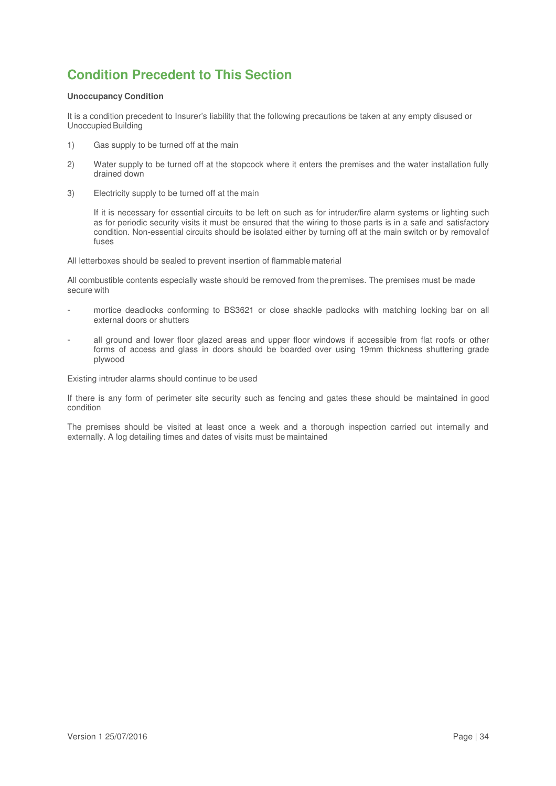# **Condition Precedent to This Section**

### **Unoccupancy Condition**

It is a condition precedent to Insurer's liability that the following precautions be taken at any empty disused or Unoccupied Building

- 1) Gas supply to be turned off at the main
- 2) Water supply to be turned off at the stopcock where it enters the premises and the water installation fully drained down
- 3) Electricity supply to be turned off at the main

If it is necessary for essential circuits to be left on such as for intruder/fire alarm systems or lighting such as for periodic security visits it must be ensured that the wiring to those parts is in a safe and satisfactory condition. Non-essential circuits should be isolated either by turning off at the main switch or by removal of fuses

All letterboxes should be sealed to prevent insertion of flammable material

All combustible contents especially waste should be removed from the premises. The premises must be made secure with

- mortice deadlocks conforming to BS3621 or close shackle padlocks with matching locking bar on all external doors or shutters
- all ground and lower floor glazed areas and upper floor windows if accessible from flat roofs or other forms of access and glass in doors should be boarded over using 19mm thickness shuttering grade plywood

Existing intruder alarms should continue to be used

If there is any form of perimeter site security such as fencing and gates these should be maintained in good condition

The premises should be visited at least once a week and a thorough inspection carried out internally and externally. A log detailing times and dates of visits must be maintained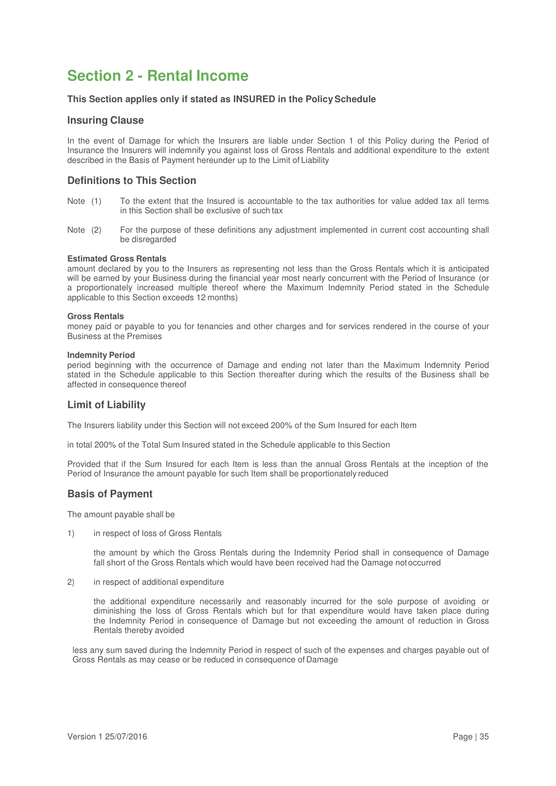# **Section 2 - Rental Income**

### **This Section applies only if stated as INSURED in the Policy Schedule**

### **Insuring Clause**

In the event of Damage for which the Insurers are liable under Section 1 of this Policy during the Period of Insurance the Insurers will indemnify you against loss of Gross Rentals and additional expenditure to the extent described in the Basis of Payment hereunder up to the Limit of Liability

# **Definitions to This Section**

- Note (1) To the extent that the Insured is accountable to the tax authorities for value added tax all terms in this Section shall be exclusive of such tax
- Note (2) For the purpose of these definitions any adjustment implemented in current cost accounting shall be disregarded

### **Estimated Gross Rentals**

amount declared by you to the Insurers as representing not less than the Gross Rentals which it is anticipated will be earned by your Business during the financial year most nearly concurrent with the Period of Insurance (or a proportionately increased multiple thereof where the Maximum Indemnity Period stated in the Schedule applicable to this Section exceeds 12 months)

### **Gross Rentals**

money paid or payable to you for tenancies and other charges and for services rendered in the course of your Business at the Premises

### **Indemnity Period**

period beginning with the occurrence of Damage and ending not later than the Maximum Indemnity Period stated in the Schedule applicable to this Section thereafter during which the results of the Business shall be affected in consequence thereof

# **Limit of Liability**

The Insurers liability under this Section will not exceed 200% of the Sum Insured for each Item

in total 200% of the Total Sum Insured stated in the Schedule applicable to this Section

Provided that if the Sum Insured for each Item is less than the annual Gross Rentals at the inception of the Period of Insurance the amount payable for such Item shall be proportionately reduced

# **Basis of Payment**

The amount payable shall be

1) in respect of loss of Gross Rentals

 the amount by which the Gross Rentals during the Indemnity Period shall in consequence of Damage fall short of the Gross Rentals which would have been received had the Damage not occurred

2) in respect of additional expenditure

the additional expenditure necessarily and reasonably incurred for the sole purpose of avoiding or diminishing the loss of Gross Rentals which but for that expenditure would have taken place during the Indemnity Period in consequence of Damage but not exceeding the amount of reduction in Gross Rentals thereby avoided

less any sum saved during the Indemnity Period in respect of such of the expenses and charges payable out of Gross Rentals as may cease or be reduced in consequence of Damage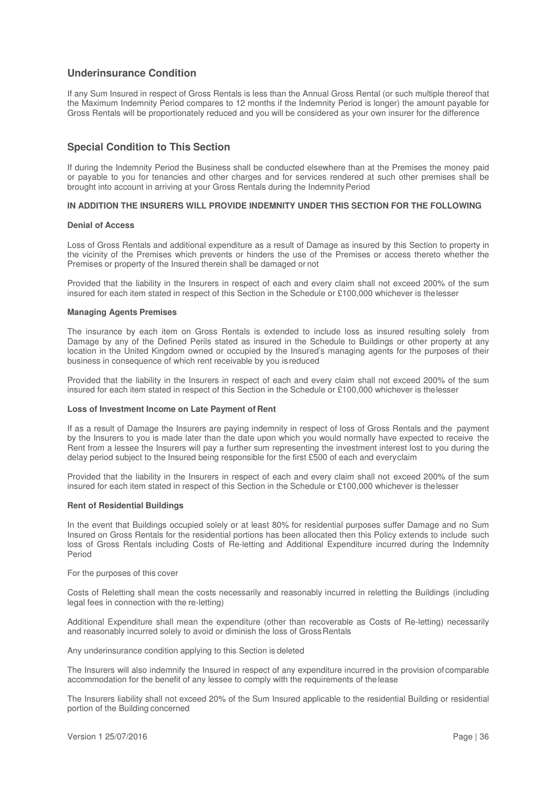# **Underinsurance Condition**

If any Sum Insured in respect of Gross Rentals is less than the Annual Gross Rental (or such multiple thereof that the Maximum Indemnity Period compares to 12 months if the Indemnity Period is longer) the amount payable for Gross Rentals will be proportionately reduced and you will be considered as your own insurer for the difference

# **Special Condition to This Section**

If during the Indemnity Period the Business shall be conducted elsewhere than at the Premises the money paid or payable to you for tenancies and other charges and for services rendered at such other premises shall be brought into account in arriving at your Gross Rentals during the Indemnity Period

### **IN ADDITION THE INSURERS WILL PROVIDE INDEMNITY UNDER THIS SECTION FOR THE FOLLOWING**

### **Denial of Access**

Loss of Gross Rentals and additional expenditure as a result of Damage as insured by this Section to property in the vicinity of the Premises which prevents or hinders the use of the Premises or access thereto whether the Premises or property of the Insured therein shall be damaged or not

Provided that the liability in the Insurers in respect of each and every claim shall not exceed 200% of the sum insured for each item stated in respect of this Section in the Schedule or £100,000 whichever is the lesser

### **Managing Agents Premises**

The insurance by each item on Gross Rentals is extended to include loss as insured resulting solely from Damage by any of the Defined Perils stated as insured in the Schedule to Buildings or other property at any location in the United Kingdom owned or occupied by the Insured's managing agents for the purposes of their business in consequence of which rent receivable by you is reduced

Provided that the liability in the Insurers in respect of each and every claim shall not exceed 200% of the sum insured for each item stated in respect of this Section in the Schedule or £100,000 whichever is the lesser

#### **Loss of Investment Income on Late Payment of Rent**

If as a result of Damage the Insurers are paying indemnity in respect of loss of Gross Rentals and the payment by the Insurers to you is made later than the date upon which you would normally have expected to receive the Rent from a lessee the Insurers will pay a further sum representing the investment interest lost to you during the delay period subject to the Insured being responsible for the first £500 of each and every claim

Provided that the liability in the Insurers in respect of each and every claim shall not exceed 200% of the sum insured for each item stated in respect of this Section in the Schedule or £100,000 whichever is the lesser

### **Rent of Residential Buildings**

In the event that Buildings occupied solely or at least 80% for residential purposes suffer Damage and no Sum Insured on Gross Rentals for the residential portions has been allocated then this Policy extends to include such loss of Gross Rentals including Costs of Re-letting and Additional Expenditure incurred during the Indemnity Period

For the purposes of this cover

Costs of Reletting shall mean the costs necessarily and reasonably incurred in reletting the Buildings (including legal fees in connection with the re-letting)

Additional Expenditure shall mean the expenditure (other than recoverable as Costs of Re-letting) necessarily and reasonably incurred solely to avoid or diminish the loss of Gross Rentals

Any underinsurance condition applying to this Section is deleted

The Insurers will also indemnify the Insured in respect of any expenditure incurred in the provision of comparable accommodation for the benefit of any lessee to comply with the requirements of the lease

The Insurers liability shall not exceed 20% of the Sum Insured applicable to the residential Building or residential portion of the Building concerned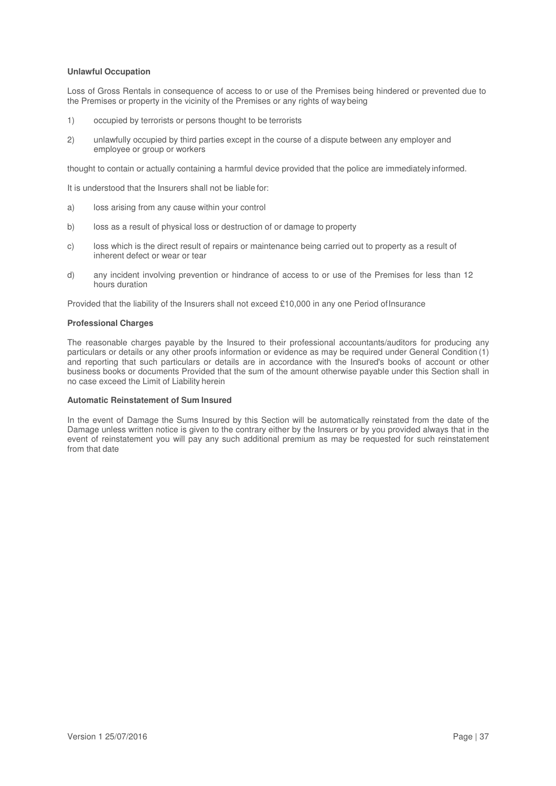### **Unlawful Occupation**

Loss of Gross Rentals in consequence of access to or use of the Premises being hindered or prevented due to the Premises or property in the vicinity of the Premises or any rights of way being

- 1) occupied by terrorists or persons thought to be terrorists
- 2) unlawfully occupied by third parties except in the course of a dispute between any employer and employee or group or workers

thought to contain or actually containing a harmful device provided that the police are immediately informed.

It is understood that the Insurers shall not be liable for:

- a) loss arising from any cause within your control
- b) loss as a result of physical loss or destruction of or damage to property
- c) loss which is the direct result of repairs or maintenance being carried out to property as a result of inherent defect or wear or tear
- d) any incident involving prevention or hindrance of access to or use of the Premises for less than 12 hours duration

Provided that the liability of the Insurers shall not exceed £10,000 in any one Period of Insurance

### **Professional Charges**

The reasonable charges payable by the Insured to their professional accountants/auditors for producing any particulars or details or any other proofs information or evidence as may be required under General Condition (1) and reporting that such particulars or details are in accordance with the Insured's books of account or other business books or documents Provided that the sum of the amount otherwise payable under this Section shall in no case exceed the Limit of Liability herein

### **Automatic Reinstatement of Sum Insured**

In the event of Damage the Sums Insured by this Section will be automatically reinstated from the date of the Damage unless written notice is given to the contrary either by the Insurers or by you provided always that in the event of reinstatement you will pay any such additional premium as may be requested for such reinstatement from that date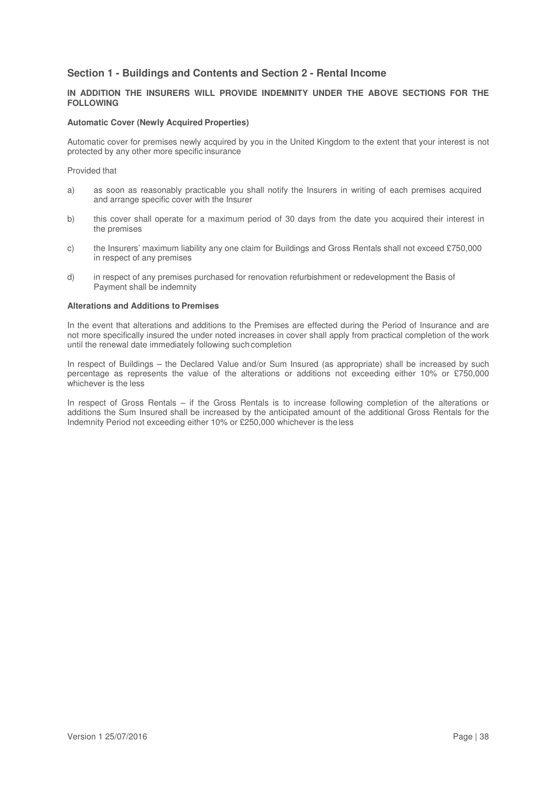# **Section 1 - Buildings and Contents and Section 2 - Rental Income**

### **IN ADDITION THE INSURERS WILL PROVIDE INDEMNITY UNDER THE ABOVE SECTIONS FOR THE FOLLOWING**

### **Automatic Cover (Newly Acquired Properties)**

Automatic cover for premises newly acquired by you in the United Kingdom to the extent that your interest is not protected by any other more specific insurance

### Provided that

- a) as soon as reasonably practicable you shall notify the Insurers in writing of each premises acquired and arrange specific cover with the Insurer
- b) this cover shall operate for a maximum period of 30 days from the date you acquired their interest in the premises
- c) the Insurers' maximum liability any one claim for Buildings and Gross Rentals shall not exceed £750,000 in respect of any premises
- d) in respect of any premises purchased for renovation refurbishment or redevelopment the Basis of Payment shall be indemnity

### **Alterations and Additions to Premises**

In the event that alterations and additions to the Premises are effected during the Period of Insurance and are not more specifically insured the under noted increases in cover shall apply from practical completion of the work until the renewal date immediately following such completion

In respect of Buildings – the Declared Value and/or Sum Insured (as appropriate) shall be increased by such percentage as represents the value of the alterations or additions not exceeding either 10% or £750,000 whichever is the less

In respect of Gross Rentals – if the Gross Rentals is to increase following completion of the alterations or additions the Sum Insured shall be increased by the anticipated amount of the additional Gross Rentals for the Indemnity Period not exceeding either 10% or £250,000 whichever is the less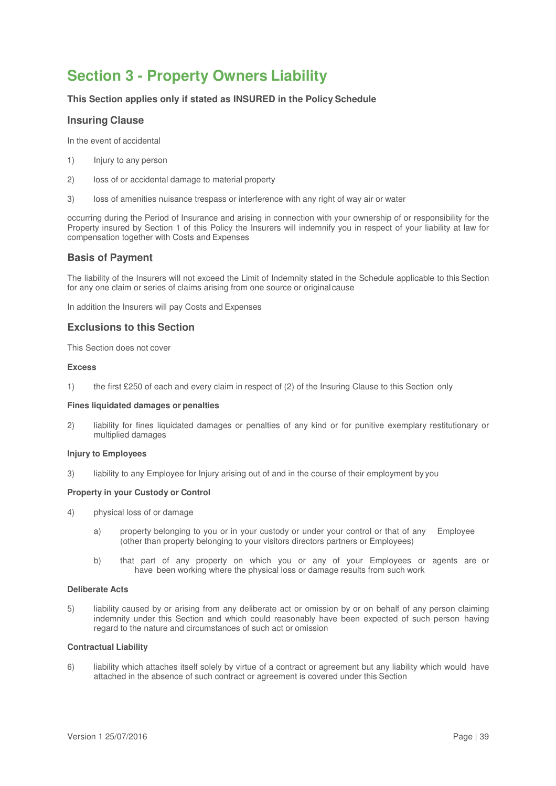# **Section 3 - Property Owners Liability**

# **This Section applies only if stated as INSURED in the Policy Schedule**

# **Insuring Clause**

In the event of accidental

- 1) Injury to any person
- 2) loss of or accidental damage to material property
- 3) loss of amenities nuisance trespass or interference with any right of way air or water

occurring during the Period of Insurance and arising in connection with your ownership of or responsibility for the Property insured by Section 1 of this Policy the Insurers will indemnify you in respect of your liability at law for compensation together with Costs and Expenses

# **Basis of Payment**

The liability of the Insurers will not exceed the Limit of Indemnity stated in the Schedule applicable to this Section for any one claim or series of claims arising from one source or original cause

In addition the Insurers will pay Costs and Expenses

# **Exclusions to this Section**

This Section does not cover

### **Excess**

1) the first £250 of each and every claim in respect of (2) of the Insuring Clause to this Section only

### **Fines liquidated damages or penalties**

2) liability for fines liquidated damages or penalties of any kind or for punitive exemplary restitutionary or multiplied damages

# **Injury to Employees**

3) liability to any Employee for Injury arising out of and in the course of their employment by you

### **Property in your Custody or Control**

- 4) physical loss of or damage
	- a) property belonging to you or in your custody or under your control or that of any Employee (other than property belonging to your visitors directors partners or Employees)
	- b) that part of any property on which you or any of your Employees or agents are or have been working where the physical loss or damage results from such work

#### **Deliberate Acts**

5) liability caused by or arising from any deliberate act or omission by or on behalf of any person claiming indemnity under this Section and which could reasonably have been expected of such person having regard to the nature and circumstances of such act or omission

### **Contractual Liability**

6) liability which attaches itself solely by virtue of a contract or agreement but any liability which would have attached in the absence of such contract or agreement is covered under this Section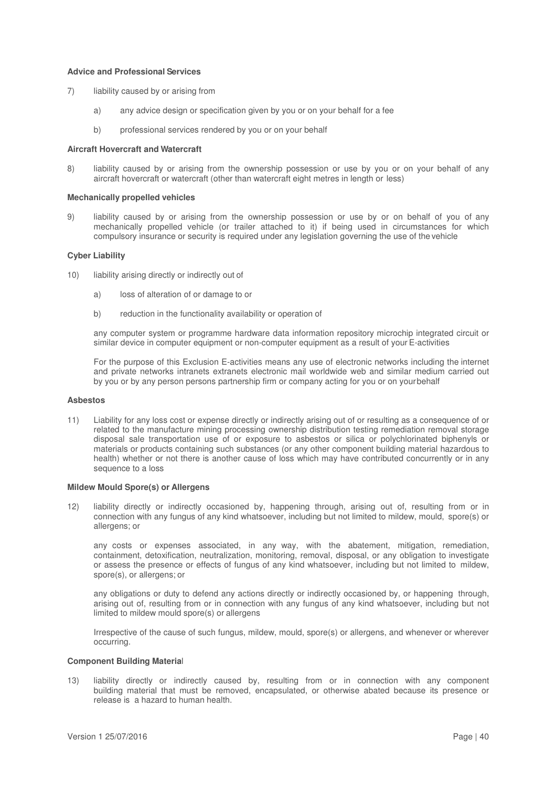### **Advice and Professional Services**

- 7) liability caused by or arising from
	- a) any advice design or specification given by you or on your behalf for a fee
	- b) professional services rendered by you or on your behalf

### **Aircraft Hovercraft and Watercraft**

8) liability caused by or arising from the ownership possession or use by you or on your behalf of any aircraft hovercraft or watercraft (other than watercraft eight metres in length or less)

#### **Mechanically propelled vehicles**

9) liability caused by or arising from the ownership possession or use by or on behalf of you of any mechanically propelled vehicle (or trailer attached to it) if being used in circumstances for which compulsory insurance or security is required under any legislation governing the use of the vehicle

### **Cyber Liability**

- 10) liability arising directly or indirectly out of
	- a) loss of alteration of or damage to or
	- b) reduction in the functionality availability or operation of

any computer system or programme hardware data information repository microchip integrated circuit or similar device in computer equipment or non-computer equipment as a result of your E-activities

For the purpose of this Exclusion E-activities means any use of electronic networks including the internet and private networks intranets extranets electronic mail worldwide web and similar medium carried out by you or by any person persons partnership firm or company acting for you or on your behalf

#### **Asbestos**

11) Liability for any loss cost or expense directly or indirectly arising out of or resulting as a consequence of or related to the manufacture mining processing ownership distribution testing remediation removal storage disposal sale transportation use of or exposure to asbestos or silica or polychlorinated biphenyls or materials or products containing such substances (or any other component building material hazardous to health) whether or not there is another cause of loss which may have contributed concurrently or in any sequence to a loss

#### **Mildew Mould Spore(s) or Allergens**

12) liability directly or indirectly occasioned by, happening through, arising out of, resulting from or in connection with any fungus of any kind whatsoever, including but not limited to mildew, mould, spore(s) or allergens; or

any costs or expenses associated, in any way, with the abatement, mitigation, remediation, containment, detoxification, neutralization, monitoring, removal, disposal, or any obligation to investigate or assess the presence or effects of fungus of any kind whatsoever, including but not limited to mildew, spore(s), or allergens; or

any obligations or duty to defend any actions directly or indirectly occasioned by, or happening through, arising out of, resulting from or in connection with any fungus of any kind whatsoever, including but not limited to mildew mould spore(s) or allergens

Irrespective of the cause of such fungus, mildew, mould, spore(s) or allergens, and whenever or wherever occurring.

### **Component Building Materia**l

13) liability directly or indirectly caused by, resulting from or in connection with any component building material that must be removed, encapsulated, or otherwise abated because its presence or release is a hazard to human health.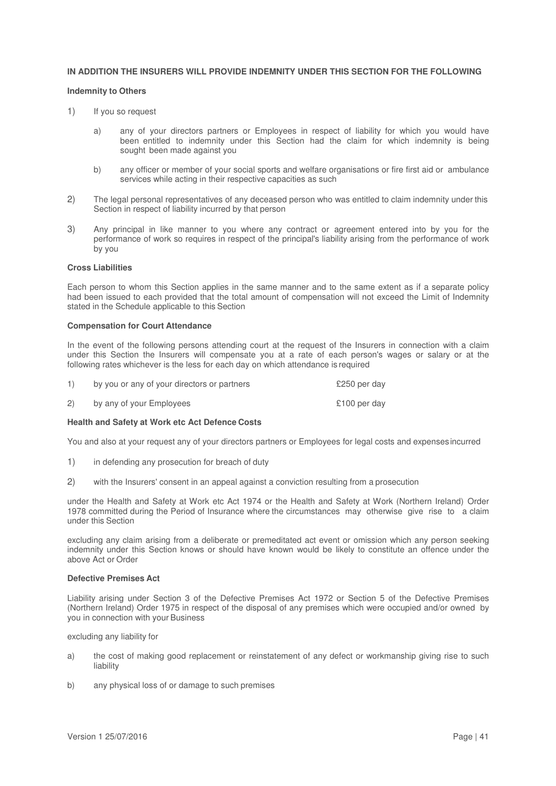### **IN ADDITION THE INSURERS WILL PROVIDE INDEMNITY UNDER THIS SECTION FOR THE FOLLOWING**

### **Indemnity to Others**

- 1) If you so request
	- a) any of your directors partners or Employees in respect of liability for which you would have been entitled to indemnity under this Section had the claim for which indemnity is being sought been made against you
	- b) any officer or member of your social sports and welfare organisations or fire first aid or ambulance services while acting in their respective capacities as such
- 2) The legal personal representatives of any deceased person who was entitled to claim indemnity under this Section in respect of liability incurred by that person
- 3) Any principal in like manner to you where any contract or agreement entered into by you for the performance of work so requires in respect of the principal's liability arising from the performance of work by you

### **Cross Liabilities**

Each person to whom this Section applies in the same manner and to the same extent as if a separate policy had been issued to each provided that the total amount of compensation will not exceed the Limit of Indemnity stated in the Schedule applicable to this Section

#### **Compensation for Court Attendance**

In the event of the following persons attending court at the request of the Insurers in connection with a claim under this Section the Insurers will compensate you at a rate of each person's wages or salary or at the following rates whichever is the less for each day on which attendance is required

| $\left( \begin{matrix} 1 \end{matrix} \right)$ | by you or any of your directors or partners | £250 per day |
|------------------------------------------------|---------------------------------------------|--------------|
| (2)                                            | by any of your Employees                    | £100 per day |

### **Health and Safety at Work etc Act Defence Costs**

You and also at your request any of your directors partners or Employees for legal costs and expenses incurred

- 1) in defending any prosecution for breach of duty
- 2) with the Insurers' consent in an appeal against a conviction resulting from a prosecution

under the Health and Safety at Work etc Act 1974 or the Health and Safety at Work (Northern Ireland) Order 1978 committed during the Period of Insurance where the circumstances may otherwise give rise to a claim under this Section

excluding any claim arising from a deliberate or premeditated act event or omission which any person seeking indemnity under this Section knows or should have known would be likely to constitute an offence under the above Act or Order

### **Defective Premises Act**

Liability arising under Section 3 of the Defective Premises Act 1972 or Section 5 of the Defective Premises (Northern Ireland) Order 1975 in respect of the disposal of any premises which were occupied and/or owned by you in connection with your Business

excluding any liability for

- a) the cost of making good replacement or reinstatement of any defect or workmanship giving rise to such liability
- b) any physical loss of or damage to such premises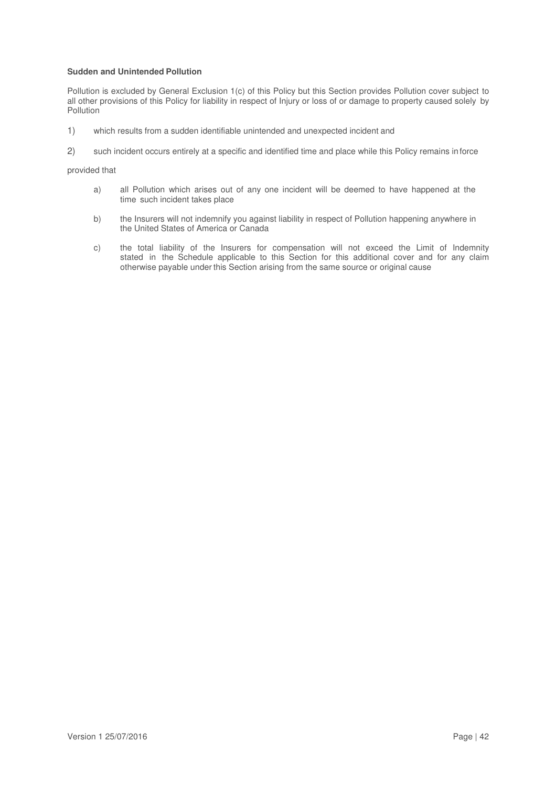### **Sudden and Unintended Pollution**

Pollution is excluded by General Exclusion 1(c) of this Policy but this Section provides Pollution cover subject to all other provisions of this Policy for liability in respect of Injury or loss of or damage to property caused solely by **Pollution** 

- 1) which results from a sudden identifiable unintended and unexpected incident and
- 2) such incident occurs entirely at a specific and identified time and place while this Policy remains in force

### provided that

- a) all Pollution which arises out of any one incident will be deemed to have happened at the time such incident takes place
- b) the Insurers will not indemnify you against liability in respect of Pollution happening anywhere in the United States of America or Canada
- c) the total liability of the Insurers for compensation will not exceed the Limit of Indemnity stated in the Schedule applicable to this Section for this additional cover and for any claim otherwise payable under this Section arising from the same source or original cause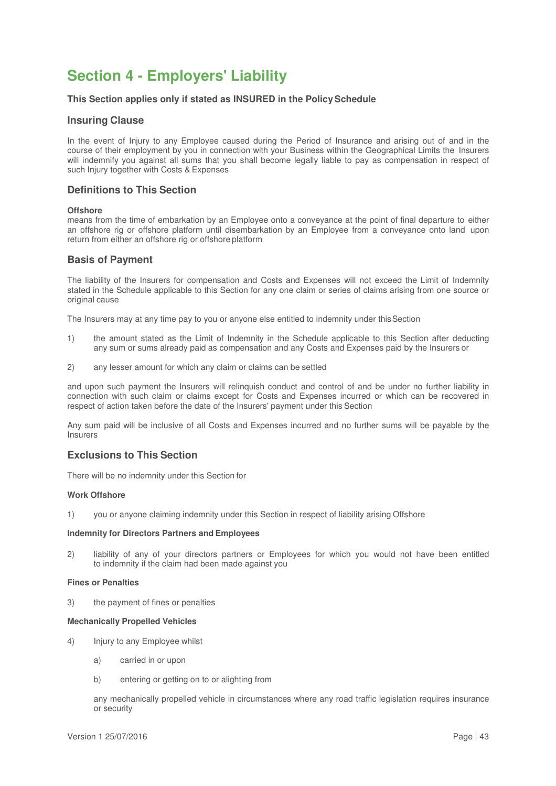# **Section 4 - Employers' Liability**

### **This Section applies only if stated as INSURED in the Policy Schedule**

### **Insuring Clause**

In the event of Injury to any Employee caused during the Period of Insurance and arising out of and in the course of their employment by you in connection with your Business within the Geographical Limits the Insurers will indemnify you against all sums that you shall become legally liable to pay as compensation in respect of such Injury together with Costs & Expenses

# **Definitions to This Section**

### **Offshore**

means from the time of embarkation by an Employee onto a conveyance at the point of final departure to either an offshore rig or offshore platform until disembarkation by an Employee from a conveyance onto land upon return from either an offshore rig or offshore platform

### **Basis of Payment**

The liability of the Insurers for compensation and Costs and Expenses will not exceed the Limit of Indemnity stated in the Schedule applicable to this Section for any one claim or series of claims arising from one source or original cause

The Insurers may at any time pay to you or anyone else entitled to indemnity under this Section

- 1) the amount stated as the Limit of Indemnity in the Schedule applicable to this Section after deducting any sum or sums already paid as compensation and any Costs and Expenses paid by the Insurers or
- 2) any lesser amount for which any claim or claims can be settled

and upon such payment the Insurers will relinquish conduct and control of and be under no further liability in connection with such claim or claims except for Costs and Expenses incurred or which can be recovered in respect of action taken before the date of the Insurers' payment under this Section

Any sum paid will be inclusive of all Costs and Expenses incurred and no further sums will be payable by the **Insurers** 

# **Exclusions to This Section**

There will be no indemnity under this Section for

### **Work Offshore**

1) you or anyone claiming indemnity under this Section in respect of liability arising Offshore

#### **Indemnity for Directors Partners and Employees**

2) liability of any of your directors partners or Employees for which you would not have been entitled to indemnity if the claim had been made against you

#### **Fines or Penalties**

3) the payment of fines or penalties

#### **Mechanically Propelled Vehicles**

- 4) Injury to any Employee whilst
	- a) carried in or upon
	- b) entering or getting on to or alighting from

any mechanically propelled vehicle in circumstances where any road traffic legislation requires insurance or security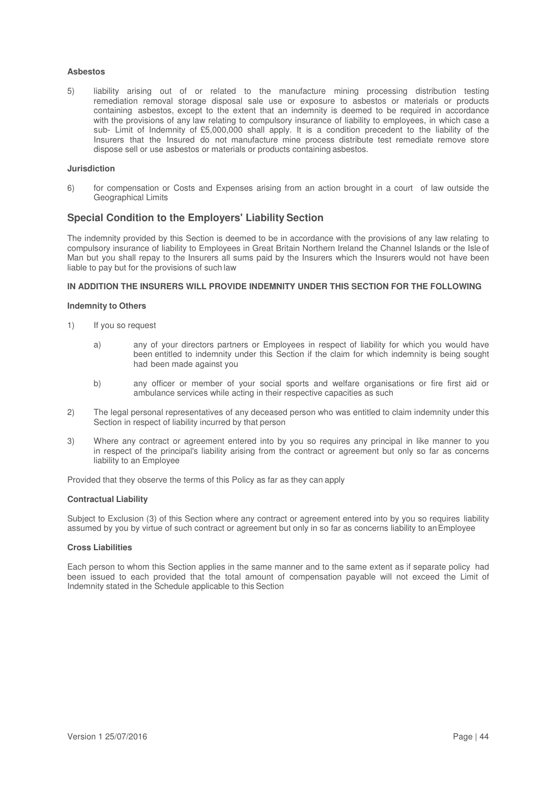### **Asbestos**

5) liability arising out of or related to the manufacture mining processing distribution testing remediation removal storage disposal sale use or exposure to asbestos or materials or products containing asbestos, except to the extent that an indemnity is deemed to be required in accordance with the provisions of any law relating to compulsory insurance of liability to employees, in which case a sub- Limit of Indemnity of £5,000,000 shall apply. It is a condition precedent to the liability of the Insurers that the Insured do not manufacture mine process distribute test remediate remove store dispose sell or use asbestos or materials or products containing asbestos.

### **Jurisdiction**

6) for compensation or Costs and Expenses arising from an action brought in a court of law outside the Geographical Limits

# **Special Condition to the Employers' Liability Section**

The indemnity provided by this Section is deemed to be in accordance with the provisions of any law relating to compulsory insurance of liability to Employees in Great Britain Northern Ireland the Channel Islands or the Isle of Man but you shall repay to the Insurers all sums paid by the Insurers which the Insurers would not have been liable to pay but for the provisions of such law

### **IN ADDITION THE INSURERS WILL PROVIDE INDEMNITY UNDER THIS SECTION FOR THE FOLLOWING**

### **Indemnity to Others**

- 1) If you so request
	- a) any of your directors partners or Employees in respect of liability for which you would have been entitled to indemnity under this Section if the claim for which indemnity is being sought had been made against you
	- b) any officer or member of your social sports and welfare organisations or fire first aid or ambulance services while acting in their respective capacities as such
- 2) The legal personal representatives of any deceased person who was entitled to claim indemnity under this Section in respect of liability incurred by that person
- 3) Where any contract or agreement entered into by you so requires any principal in like manner to you in respect of the principal's liability arising from the contract or agreement but only so far as concerns liability to an Employee

Provided that they observe the terms of this Policy as far as they can apply

#### **Contractual Liability**

Subject to Exclusion (3) of this Section where any contract or agreement entered into by you so requires liability assumed by you by virtue of such contract or agreement but only in so far as concerns liability to an Employee

### **Cross Liabilities**

Each person to whom this Section applies in the same manner and to the same extent as if separate policy had been issued to each provided that the total amount of compensation payable will not exceed the Limit of Indemnity stated in the Schedule applicable to this Section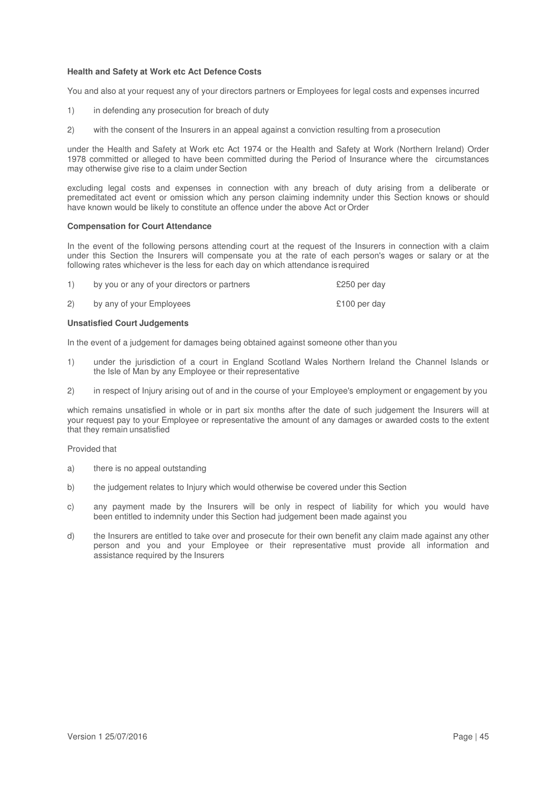### **Health and Safety at Work etc Act Defence Costs**

You and also at your request any of your directors partners or Employees for legal costs and expenses incurred

- 1) in defending any prosecution for breach of duty
- 2) with the consent of the Insurers in an appeal against a conviction resulting from a prosecution

under the Health and Safety at Work etc Act 1974 or the Health and Safety at Work (Northern Ireland) Order 1978 committed or alleged to have been committed during the Period of Insurance where the circumstances may otherwise give rise to a claim under Section

excluding legal costs and expenses in connection with any breach of duty arising from a deliberate or premeditated act event or omission which any person claiming indemnity under this Section knows or should have known would be likely to constitute an offence under the above Act or Order

### **Compensation for Court Attendance**

In the event of the following persons attending court at the request of the Insurers in connection with a claim under this Section the Insurers will compensate you at the rate of each person's wages or salary or at the following rates whichever is the less for each day on which attendance is required

| 1)  | by you or any of your directors or partners | £250 per day |
|-----|---------------------------------------------|--------------|
| (2) | by any of your Employees                    | £100 per day |

### **Unsatisfied Court Judgements**

In the event of a judgement for damages being obtained against someone other than you

- 1) under the jurisdiction of a court in England Scotland Wales Northern Ireland the Channel Islands or the Isle of Man by any Employee or their representative
- 2) in respect of Injury arising out of and in the course of your Employee's employment or engagement by you

which remains unsatisfied in whole or in part six months after the date of such judgement the Insurers will at your request pay to your Employee or representative the amount of any damages or awarded costs to the extent that they remain unsatisfied

### Provided that

- a) there is no appeal outstanding
- b) the judgement relates to Injury which would otherwise be covered under this Section
- c) any payment made by the Insurers will be only in respect of liability for which you would have been entitled to indemnity under this Section had judgement been made against you
- d) the Insurers are entitled to take over and prosecute for their own benefit any claim made against any other person and you and your Employee or their representative must provide all information and assistance required by the Insurers